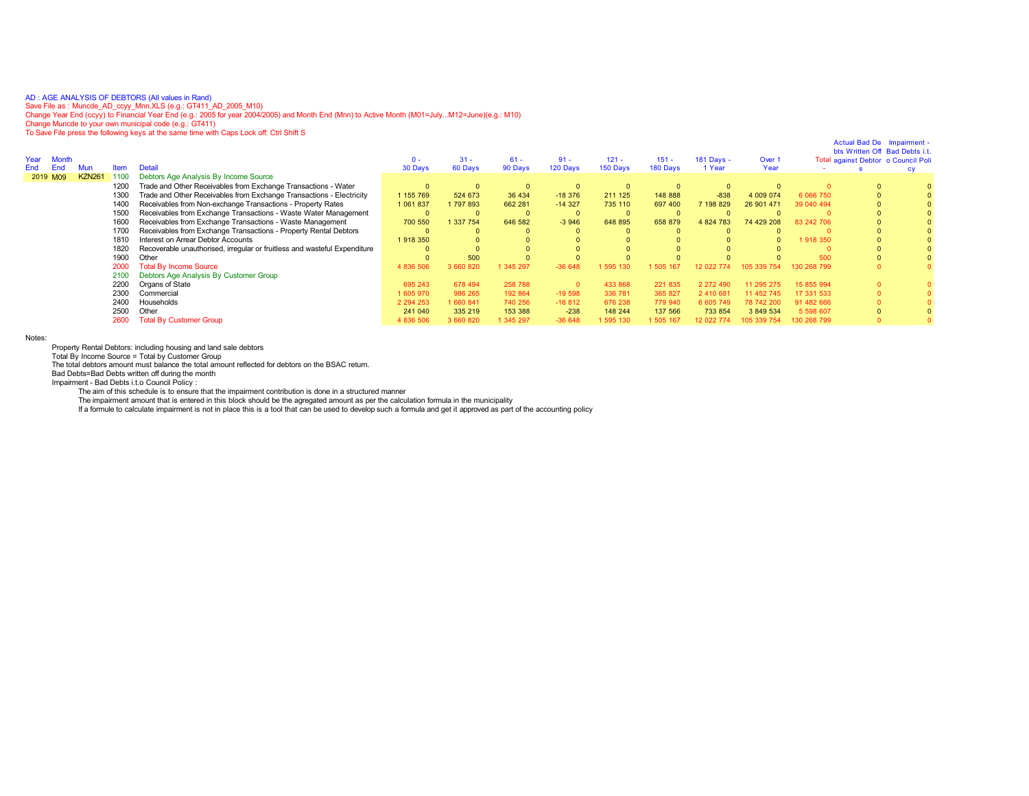AD:AGE ANALYSIS OF DEBTORS (All values in Rand)<br>Save File as : Muncde\_AD\_ccyy\_Mnn.XLS (e.g.: GT411\_AD\_2005\_M10)<br>Change Year End (ccyy) to Financial Year End (e.g.: 2005 for year 2004/2005) and Month End (Mnn) to Active Mon

To Save File press the following keys at the same time with Caps Lock off: Ctrl Shift S

| Year<br><b>Month</b><br>End<br>Mun |             | <b>Detail</b>                                                             | $0 -$         | $31 -$    | $61 -$    | $91 -$      | $121 -$  | $151 -$  | 181 Days - | Over 1     |             | Actual Bad De Impairment<br>bts Written Off Bad Debts i.<br>Total against Debtor o Council Poli |  |
|------------------------------------|-------------|---------------------------------------------------------------------------|---------------|-----------|-----------|-------------|----------|----------|------------|------------|-------------|-------------------------------------------------------------------------------------------------|--|
|                                    | <b>Item</b> |                                                                           | 30 Days       | 60 Days   | 90 Days   | 120 Days    | 150 Days | 180 Days | 1 Year     | Year       |             |                                                                                                 |  |
| <b>KZN261</b><br>2019 M09          | 1100        | Debtors Age Analysis By Income Source                                     |               |           |           |             |          |          |            |            |             |                                                                                                 |  |
|                                    | 1200        | Trade and Other Receivables from Exchange Transactions - Water            |               |           |           | $\mathbf 0$ |          |          |            |            |             | $\Omega$                                                                                        |  |
|                                    | 1300        | Trade and Other Receivables from Exchange Transactions - Electricity      | 1 155 769     | 524 673   | 36 434    | $-18376$    | 211 125  | 148 888  | $-838$     | 4 009 074  | 6 0 66 7 50 | $\Omega$                                                                                        |  |
|                                    | 1400        | Receivables from Non-exchange Transactions - Property Rates               | 1 061 837     | 1797893   | 662 281   | $-14327$    | 735 110  | 697 400  | 7198829    | 26 901 471 | 39 040 494  |                                                                                                 |  |
|                                    | 1500        | Receivables from Exchange Transactions - Waste Water Management           |               |           |           | 0           |          |          |            |            |             |                                                                                                 |  |
|                                    | 1600        | Receivables from Exchange Transactions - Waste Management                 | 700 550       | 337 754   | 646 582   | $-3946$     | 648 895  | 658 879  | 4 824 783  | 74 429 208 | 83 242 706  |                                                                                                 |  |
|                                    | 1700        | Receivables from Exchange Transactions - Property Rental Debtors          |               |           |           |             |          |          |            |            |             |                                                                                                 |  |
|                                    | 1810        | Interest on Arrear Debtor Accounts                                        | 1918 350      |           |           |             |          |          |            |            | 1918 350    |                                                                                                 |  |
|                                    | 1820        | Recoverable unauthorised, irregular or fruitless and wasteful Expenditure |               |           |           |             |          |          |            |            |             |                                                                                                 |  |
|                                    | 1900        | Other                                                                     |               | 500       |           |             |          |          |            |            | 500         |                                                                                                 |  |
|                                    | 2000        | <b>Total By Income Source</b>                                             | 4 836 506     | 3 660 820 | 1 345 297 | $-36648$    | 595 130  | 505 167  |            |            |             |                                                                                                 |  |
|                                    | 2100        | Debtors Age Analysis By Customer Group                                    |               |           |           |             |          |          |            |            |             |                                                                                                 |  |
|                                    | 2200        | Organs of State                                                           | 695 243       | 678 494   | 258 788   | $\Omega$    | 433 868  | 221 835  | 2 272 490  | 11 295 275 | 15 855 994  | $\mathbf{0}$                                                                                    |  |
|                                    | 2300        | Commercial                                                                | 1 605 970     | 986 265   | 192 864   | $-19598$    | 336 781  | 365 827  | 2 410 681  | 11 452 745 | 17 331 533  | $\Omega$                                                                                        |  |
|                                    | 2400        | Households                                                                | 2 2 9 4 2 5 3 | 1 660 841 | 740 256   | $-16812$    | 676 238  | 779 940  | 6 605 749  | 78 742 20  | 91 482 666  | $\Omega$                                                                                        |  |
|                                    | 2500        | Other                                                                     | 241 040       | 335 219   | 153 388   | $-238$      | 148 244  | 137 566  | 733 854    | 3 849 534  | 5 598 607   | $\Omega$                                                                                        |  |
|                                    | 2600        | <b>Total By Customer Group</b>                                            | 4 836 506     | 3 660 820 | 1 345 297 | $-36648$    | 595 130  | 505 167  | 12 022 774 |            | 130 268 799 |                                                                                                 |  |
|                                    |             |                                                                           |               |           |           |             |          |          |            |            |             |                                                                                                 |  |

Notes:

Property Rental Debtors: including housing and land sale debtors Total By Income Source = Total by Customer Group

The total debtors amount must balance the total amount reflected for debtors on the BSAC return.

Bad Debts=Bad Debts written off during the month

Impairment - Bad Debts i.t.o Council Policy :

The aim of this schedule is to ensure that the impairment contribution is done in a structured manner

The impairment amount that is entered in this block should be the agregated amount as per the calculation formula in the municipality<br>If a formule to calculate impairment is not in place this is a tool that can be used to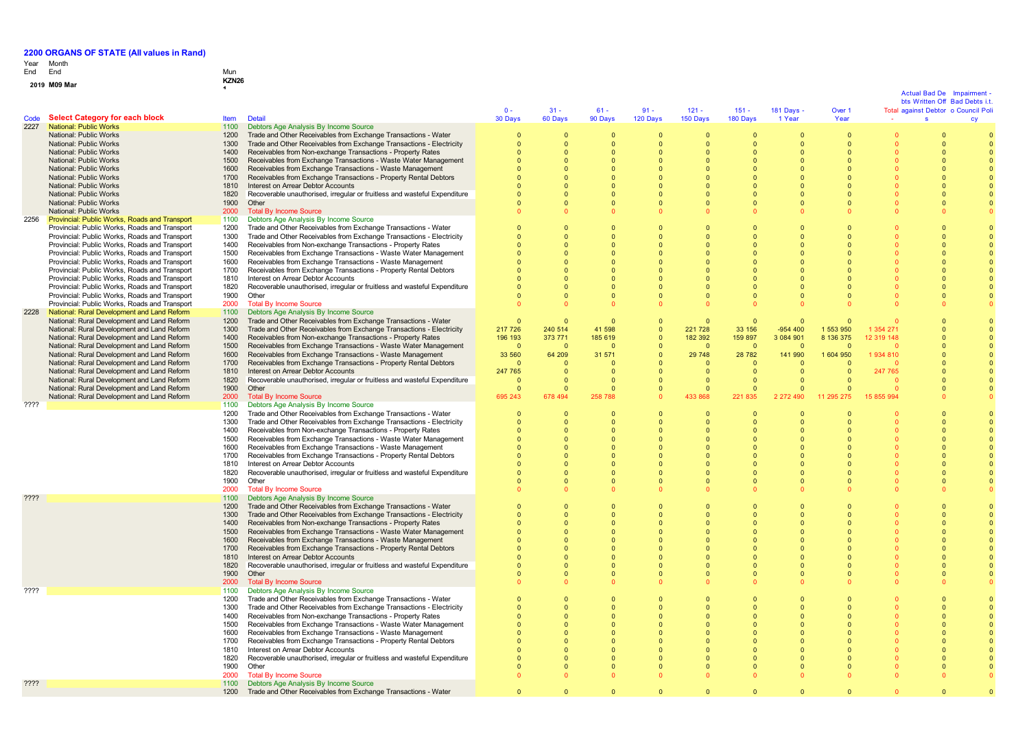### Year Month End

**2 0 1**

### End Mun **<sup>9</sup> M09 Mar KZN26 <sup>1</sup>**

### **Code Select Category for each block** Item Detail<br> **Code Select Category for each block** Item 1100 Debtor  $\mathbf{0}$  -3 0 D a y s 3 1 - 6 0 D a y s 6 1 - 9 0 D a y s 9 1 - 1 2 0 D a y s 1 2 1 - 1 5 0 D a y s 1 5 1 - 180 Days 1 8 1 D a y s - 1 Year Over 1 Year Actual Bad De Impairment<br>bts Written Off Bad Debts i.t.<br>Total against Debtor o Council Poli<br>council Poli bts Written Off Bad Debts i.t. cy 2227 National: Public Works 1100 Debtors Age Analysis By Income Source National: Public Works 1200 Trade and Other Receivables from Exchange Transactions - Water 0  $\sqrt{2}$  $\Omega$  $\sqrt{2}$  $\sqrt{2}$  $\sqrt{2}$  $\sqrt{2}$  $\sqrt{2}$  $\overline{0}$ 0  $\Omega$ National: Public Works 1300 Trade and Other Receivables from Exchange Transactions - Electricity  $\overline{0}$  $\sqrt{2}$  $\sqrt{2}$  $\sqrt{2}$  $\overline{0}$  $\mathbf{0}$  $\sqrt{2}$  $\sqrt{2}$  $\mathbf{0}$  $\sqrt{2}$  $\sqrt{2}$ National: Public Works 1400 Receivables from Non-exchange Transactions - Property Rates  $\overline{0}$  $\sqrt{2}$  $\Omega$  $\Omega$  $\Omega$  $\Omega$  $\mathbf{0}$  $\Omega$  $\mathbf{0}$  $\Omega$  $\Omega$ National: Public Works 1500 Receivables from Exchange Transactions - Waste Water Management  $\overline{0}$  $\Omega$  $\Omega$  $\Omega$  $\Omega$  $\Omega$  $\Omega$  $\Omega$  $\mathbf{0}$  $\overline{0}$  $\Omega$ National: Public Works 1600 Receivables from Exchange Transactions - Waste Management  $\sqrt{2}$  $\sqrt{2}$  $\Omega$  $\Omega$  $\sqrt{2}$  $\sqrt{2}$  $\sqrt{2}$  $\sqrt{2}$  $\mathbf{0}$  $\sqrt{2}$  $\Omega$ National: Public Works 1700 Receivables from Exchange Transactions - Property Rental Debtors 0 0  $\overline{0}$  $\overline{0}$  $\mathbf{0}$  $\mathbf{0}$  $\mathbf{0}$  $\overline{0}$  $\mathbf{0}$  $\mathbf{0}$  $\mathbf{0}$ National: Public Works 1810 Interest on Arrear Debtor Accounts  $\sqrt{2}$  $\sim$  $\sqrt{2}$  $\sqrt{2}$  $\sqrt{2}$  $\sqrt{2}$  $\sim$  $\sqrt{2}$  $\mathbf{0}$  $\sqrt{2}$  $\sqrt{2}$ 1820 Recoverable unauthorised, irregular or fruitless and wasteful Expenditure<br>1900 Cithor 0  $\sqrt{2}$  $\Omega$  $\Omega$  $\Omega$  $\Omega$  $\Omega$  $\Omega$  $\mathbf{0}$ 0  $\Omega$ National: Public Works 1900 Other  $\sqrt{2}$  $\sqrt{2}$  $\Omega$  $\sqrt{2}$  $\Omega$  $\sqrt{2}$  $\sqrt{2}$  $\sqrt{2}$  $\mathbf{0}$  $\sqrt{2}$  $\Omega$ National: Public Works<br>**Provincial: Public Works, Roads and Transport** 2000 20 Debtors Age Analysis By Income Source 0 0  $\sqrt{2}$  $\mathbf{0}$  $\mathbf{0}$  $\mathbf{0}$  $\mathbf{0}$  $\mathbf{0}$  $\mathbf{0}$  $\mathbf{0}$  $\mathbf{0}$ 2256 Provincial: Public Works, Roads and Transport 1100<br>Provincial: Public Works. Roads and Transport 1200 Provincial: Public Works, Roads and Transport 1200 Trade and Other Receivables from Exchange Transactions - Water  $\overline{0}$  $\sqrt{2}$  $\Omega$  $\Omega$  $\overline{0}$  $\sqrt{2}$  $\sqrt{2}$  $\sqrt{2}$  $\mathbf{0}$  $\overline{0}$  $\sqrt{2}$ Provincial: Public Works, Roads and Transport 1300 Trade and Other Receivables from Exchange Transactions - Electricity  $\Omega$  $\Omega$  $\Omega$  $\Omega$  $\Omega$  $\Omega$  $\Omega$  $\Omega$  $\sqrt{2}$  $\Omega$  $\Omega$ Provincial: Public Works, Roads and Transport 1400<br>Provincial: Public Works. Roads and Transport 1500 Receivables from Non-exchange Transactions - Property Rates  $\Omega$ 0  $\Omega$  $\Omega$  $\mathbf{0}$  $\mathbf{0}$  $\mathbf{0}$  $\theta$  $\mathbf{0}$  $\Omega$  $\mathbf{0}$ Provincial: Public Works, Roads and Transport 1500<br>Provincial: Public Works, Roads and Transport 1600 Receivables from Exchange Transactions - Waste Water Management  $\sqrt{2}$  $\sqrt{2}$  $\Omega$  $\Omega$  $\sqrt{2}$  $\sqrt{2}$  $\Omega$  $\sqrt{2}$  $\mathbf{0}$  $\sqrt{2}$  $\Omega$ Provincial: Public Works, Roads and Transport 1600<br>Provincial: Public Works, Roads and Transport 1700 Receivables from Exchange Transactions - Waste Management  $\sqrt{2}$  $\sqrt{2}$  $\Omega$  $\Omega$  $\Omega$  $\sqrt{2}$  $\sqrt{2}$  $\sqrt{2}$  $\mathbf{0}$  $\sqrt{2}$  $\Omega$ Provincial: Public Works, Roads and Transport 1700 Receivables from Exchange Transactions Christian Provincial: Public Works, Roads and Transport 1810 Interest on Arrear Debtor Accounts Receivables from Exchange Transactions - Property Rental Debtors  $\sqrt{2}$ 0  $\sqrt{2}$  $\sqrt{2}$  $\sqrt{2}$  $\mathbf{0}$  $\mathbf{0}$  $\sqrt{2}$  $\mathbf{0}$  $\sqrt{2}$  $\sqrt{2}$ Provincial: Public Works, Roads and Transport 1810<br>Provincial: Public Works, Roads and Transport 1820  $\sqrt{2}$  $\sqrt{2}$  $\Omega$  $\Omega$  $\Omega$  $\sqrt{2}$  $\sqrt{2}$  $\sqrt{2}$  $\mathbf{0}$  $\sqrt{2}$  $\Omega$ 1820 Recoverable unauthorised, irregular or fruitless and wasteful Expenditure<br>1900 Cither  $\overline{0}$  $\sqrt{2}$  $\Omega$  $\Omega$  $\Omega$  $\sqrt{2}$  $\Omega$  $\sqrt{2}$  $\mathbf{0}$  $\overline{0}$  $\Omega$ Provincial: Public Works, Roads and Transport 1900 Other<br>Provincial: Public Works, Roads and Transport 2000 Total By Income Source  $\sqrt{2}$  $\sqrt{2}$  $\Omega$  $\Omega$  $\Omega$  $\sqrt{2}$  $\Omega$  $\sqrt{2}$  $\mathbf{0}$  $\sqrt{2}$ 0 Provincial: Public Works, Roads and Transport 2000 Total By Income Source<br>
National: Rural Development and Land Reform 100 Debtors Age Analysis By Income Source  $\overline{0}$ 0  $\Omega$  $\Omega$  $\Omega$  $\mathbf{0}$  $\mathbf{0}$  $\mathbf{0}$  $\mathbf{0}$  $\mathbf{0}$  $\mathbf{0}$ 2228 National: Rural Development and Land Reform 1100<br>
National: Rural Development and Land Reform 1200 National: Rural Development and Land Reform 1200 Trade and Other Receivables from Exchange Transactions - Water  $\sqrt{2}$  $\overline{0}$  $\overline{0}$  $\Omega$  $\Omega$  $\sqrt{2}$  $\Omega$  $\Omega$  $\mathbf{0}$  $\overline{0}$  $\mathbf{0}$ National: Rural Development and Land Reform 1300 Trade and Other Receivables from Exchange Transactions - Electricity 217 726 2 4 0 5 1 4 4 1 5 9 8  $\mathbf{0}$ 221 728 3 3 1 5 6 - 9 5 4 4 0 0 1 5 5 3 9 5 0 1 3 5 4 2 7 1 0  $\Omega$ National: Rural Development and Land Reform 1400<br>
National: Rural Development and Land Reform 1500 Receivables from Non-exchange Transactions - Property Rates 196 193 373 771 1 8 5 6 1 9  $\Omega$ 1 8 2 3 9 2 1 5 9 8 9 7 3 0 8 4 9 0 1 8 1 3 6 3 7 5 1 2 3 1 9 1 4 8  $\Omega$ 0 National: Rural Development and Land Reform 1500 Receivables from Exchange Transactions - Waste Water Management  $\sqrt{2}$  $\sqrt{2}$  $\sqrt{2}$  $\Omega$  $\Omega$  $\sqrt{2}$  $\sqrt{2}$  $\sqrt{2}$  $\mathbf{0}$  $\sqrt{2}$  $\Omega$ National: Rural Development and Land Reform 1600 Receivables from Exchange Transactions - Waste Management 3 3 5 6 0 6 4 2 0 9 3 1 5 7 1 0 2 9 7 4 8 2 8 7 8 2 1 4 1 9 9 0 1 604 950 1 934 810 0 0 National: Rural Development and Land Reform 1700 Receivables from Exchange Transactions National: Rural Development and Land Reform 1810 Interest on Arrear Debtor Accounts Receivables from Exchange Transactions - Property Rental Debtors  $\sqrt{2}$  $\sqrt{2}$  $\sqrt{2}$  $\sqrt{2}$  $\sqrt{2}$  $\sqrt{2}$  $\sqrt{2}$  $\sqrt{2}$  $\sqrt{2}$  $\sqrt{2}$  $\Omega$ National: Rural Development and Land Reform 1810<br>National: Rural Development and Land Reform 1820 2 4 7 7 6 5 0  $\Omega$  $\Omega$  $\Omega$  $\mathbf{0}$  $\mathbf{0}$  $\Omega$ 2 4 7 7 6 5  $\Omega$  $\Omega$ 1820 Recoverable unauthorised, irregular or fruitless and wasteful Expenditure<br>1900 Other  $\sqrt{2}$  $\sqrt{2}$  $\Omega$  $\Omega$  $\Omega$  $\sqrt{2}$  $\sqrt{2}$  $\sqrt{2}$  $\mathbf 0$  $\sqrt{2}$  $\Omega$ National: Rural Development and Land Reform 1900 Other<br>National: Rural Development and Land Reform 2000 Total By Income Source 0 0 0 0  $\overline{0}$  $\sqrt{2}$  $\mathbf{0}$ 0  $\mathbf{0}$ 0 0 National: Rural Development and Land Reform 6 9 5 2 4 3 6 7 8 4 9 4 2 5 8 7 8 8  $\Omega$ 4 3 3 8 6 8 2 2 1 8 3 5 2 272 490 1 1 2 9 5 2 7 5 1 5 8 5 5 9 9 4  $\Omega$  $\Omega$ 1100 Debtors Age Analysis By Income Source<br>1100 Debtors Age Analysis By Income Source<br>1200 Trade and Other Receivables from Excha 1200 Trade and Other Receivables from Exchange Transactions - Water  $\overline{0}$  $\sqrt{2}$  $\Omega$  $\Omega$  $\Omega$  $\Omega$  $\Omega$  $\Omega$  $\sqrt{2}$  $\overline{0}$  $\Omega$ 1300 Trade and Other Receivables from Exchange Transactions - Electricity 0 0  $\Omega$  $\Omega$  $\Omega$  $\sqrt{2}$  $\Omega$  $\Omega$ 0  $\Omega$  $\Omega$ 1400 Receivables from Non-exchange Transactions - Property Rates  $\sqrt{2}$  $\sqrt{2}$  $\Omega$  $\sqrt{2}$  $\Omega$  $\sqrt{2}$  $\Omega$  $\Omega$  $\mathbf{0}$  $\sqrt{2}$  $\Omega$ 1500 Receivables from Exchange Transactions - Waste Water Management  $\sqrt{2}$  $\sqrt{2}$  $\Omega$  $\sqrt{2}$  $\Omega$  $\sqrt{2}$  $\mathbf{0}$  $\sqrt{2}$  $\mathbf{0}$  $\sqrt{2}$  $\Omega$ 1600 Receivables from Exchange Transactions - Waste Management  $\overline{0}$  $\sqrt{2}$  $\sqrt{2}$  $\sqrt{2}$  $\sqrt{2}$  $\sqrt{2}$ 0  $\sqrt{2}$ 0  $\sqrt{2}$  $\sqrt{2}$ 1700 Receivables from Exchange Transactions - Property Rental Debtors 0  $\Omega$ 0 0  $\Omega$  $\Omega$  $\Omega$  $\Omega$  $\mathbf{0}$ 0 0 1810 Interest on Arrear Debtor Accounts<br>1820 Recoverable unauthorised irregular  $\Omega$  $\Omega$  $\Omega$  $\Omega$  $\Omega$  $\Omega$  $\Omega$  $\Omega$  $\mathbf{0}$  $\Omega$  $\Omega$ Recoverable unauthorised, irregular or fruitless and wasteful Expenditure<br>Other  $\overline{0}$  $\sqrt{2}$  $\Omega$  $\sqrt{2}$  $\sqrt{2}$  $\sqrt{2}$  $\sqrt{2}$  $\sqrt{2}$  $\mathbf 0$  $\Omega$  $\Omega$  $1900$  $\overline{0}$  $\sqrt{2}$  $\Omega$  $\sqrt{2}$  $\Omega$  $\sqrt{2}$  $\mathbf{0}$  $\sqrt{2}$  $\mathbf{0}$  $\sqrt{2}$  $\Omega$ 2000 Total By Income Source<br>1100 Debtors Age Analysis B  $\sqrt{2}$ 0  $\sqrt{2}$  $\sqrt{2}$  $\Omega$ 0 0  $\sim$ 0  $\sqrt{2}$  $\Omega$ ???? 1100 Debtors Age Analysis By Income Source 1200 Trade and Other Receivables from Exchange Transactions - Water 0  $\sqrt{2}$ 0  $\sqrt{2}$  $\Omega$  $\sqrt{2}$  $\Omega$  $\Omega$  $\sqrt{2}$ 0  $\Omega$ 1300 Trade and Other Receivables from Exchange Transactions - Electricity  $\overline{0}$  $\sqrt{2}$  $\Omega$  $\sqrt{2}$  $\overline{0}$  $\sqrt{2}$  $\Omega$  $\sqrt{2}$ 0  $\sqrt{2}$  $\Omega$ 1400 Receivables from Non-exchange Transactions - Property Rates  $\sqrt{2}$  $\sqrt{2}$  $\Omega$  $\Omega$  $\Omega$  $\sqrt{2}$  $\sqrt{2}$  $\sqrt{2}$  $\mathbf{0}$  $\sqrt{2}$  $\Omega$ 1500 Receivables from Exchange Transactions - Waste Water Management  $\sqrt{2}$  $\sim$  $\Omega$  $\Omega$  $\overline{a}$  $\sim$ 0  $\sqrt{2}$ 0  $\sqrt{2}$ 0 0 1600 Receivables from Exchange Transactions - Waste Management  $\overline{0}$  $\alpha$  $\sqrt{2}$  $\alpha$  $\sqrt{2}$  $\sqrt{2}$  $\Omega$  $\sqrt{2}$  $\mathbf 0$  $\alpha$ 1700 Receivables from Exchange Transactions - Property Rental Debtors  $\Omega$  $\Omega$  $\Omega$  $\Omega$  $\overline{0}$  $\Omega$  $\mathbf{0}$  $\Omega$  $\mathbf{0}$  $\Omega$  $\Omega$ 1810 Interest on Arrear Debtor Accounts<br>1820 Recoverable unauthorised irregular  $\overline{0}$  $\Omega$  $\Omega$  $\Omega$  $\Omega$  $\Omega$  $\sqrt{2}$  $\Omega$ 0  $\Omega$ 0 1820 Recoverable unauthorised, irregular or fruitless and wasteful Expenditure  $\Omega$  $\sqrt{2}$  $\Omega$  $\Omega$  $\Omega$  $\sqrt{2}$  $\mathbf{0}$  $\Omega$  $\mathbf 0$  $\Omega$  $\Omega$ 1900 Other<br>2000 Total I  $\overline{0}$  $\sqrt{2}$  $\Omega$  $\sqrt{2}$  $\Omega$  $\sqrt{2}$  $\Omega$  $\sqrt{2}$  $\mathbf{0}$  $\sqrt{2}$  $\Omega$ 2000 Total By Income Source<br>1100 Debtors Age Analysis B  $\overline{a}$ 0  $\sqrt{2}$  $\overline{a}$  $\overline{a}$ 0 0 0 0  $\overline{0}$  $\sqrt{2}$ ???? 1100 Debtors Age Analysis By Income Source 1200 Trade and Other Receivables from Exchange Transactions - Water  $\overline{0}$  $\sqrt{2}$  $\mathbf{0}$  $\sqrt{2}$  $\overline{0}$  $\sqrt{2}$  $\Omega$  $\sqrt{2}$ 0  $\sqrt{2}$  $\Omega$ 1300 Trade and Other Receivables from Exchange Transactions - Electricity  $\sqrt{2}$  $\sqrt{2}$  $\Omega$  $\Omega$  $\Omega$  $\sqrt{2}$  $\Omega$  $\sqrt{2}$ 0  $\sqrt{2}$  $\Omega$ 1400 Receivables from Non-exchange Transactions - Property Rates  $\sqrt{2}$  $\sqrt{2}$  $\Omega$  $\Omega$  $\Omega$  $\sqrt{2}$  $\sqrt{2}$  $\sqrt{2}$  $\mathbf{0}$  $\sqrt{2}$ 0 1500 Receivables from Exchange Transactions - Waste Water Management  $\overline{0}$ 0  $\overline{0}$  $\overline{0}$  $\overline{0}$ 0 0  $\overline{0}$ 0  $\sqrt{2}$ 0 1600 Receivables from Exchange Transactions - Waste Management  $\Omega$ 0  $\Omega$  $\Omega$  $\Omega$  $\Omega$  $\Omega$  $\Omega$  $\mathbf 0$  $\overline{0}$  $\Omega$ 1700 Receivables from Exchange Transactions - Property Rental Debtors 0  $\sqrt{2}$  $\Omega$  $\Omega$  $\Omega$  $\sqrt{2}$  $\Omega$  $\sqrt{2}$ 0 0  $\Omega$ 1810 Interest on Arrear Debtor Accounts<br>1820 Recoverable unauthorised, irregular  $\sqrt{2}$  $\sqrt{2}$  $\Omega$  $\Omega$  $\Omega$  $\sqrt{2}$  $\sqrt{2}$  $\sqrt{2}$ 0  $\sqrt{2}$  $\Omega$ 1820 Recoverable unauthorised, irregular or fruitless and wasteful Expenditure<br>1900 Other  $\Omega$ 0  $\overline{0}$  $\Omega$ 0 0 0  $\Omega$  $\mathbf 0$  $\Omega$ 0 nther  $\sqrt{2}$  $\sqrt{2}$  $\Omega$  $\Omega$  $\sqrt{2}$  $\sqrt{2}$  $\Omega$  $\Omega$ 0  $\sqrt{2}$  $\Omega$ 2000 Total By Income Source<br>1100 Debtors Age Analysis B 0  $\Omega$  $\overline{0}$  $\overline{0}$ 0 0 0  $\theta$ 0  $\overline{0}$ ???? 1100 Debtors Age Analysis By Income Source 1200 Trade and Other Receivables from Exchange Transactions - Water  $\overline{0}$  $\overline{0}$  $\overline{0}$  $\Omega$ 0 0 0  $\Omega$ 0  $\Omega$

Actual Bad De Impairment -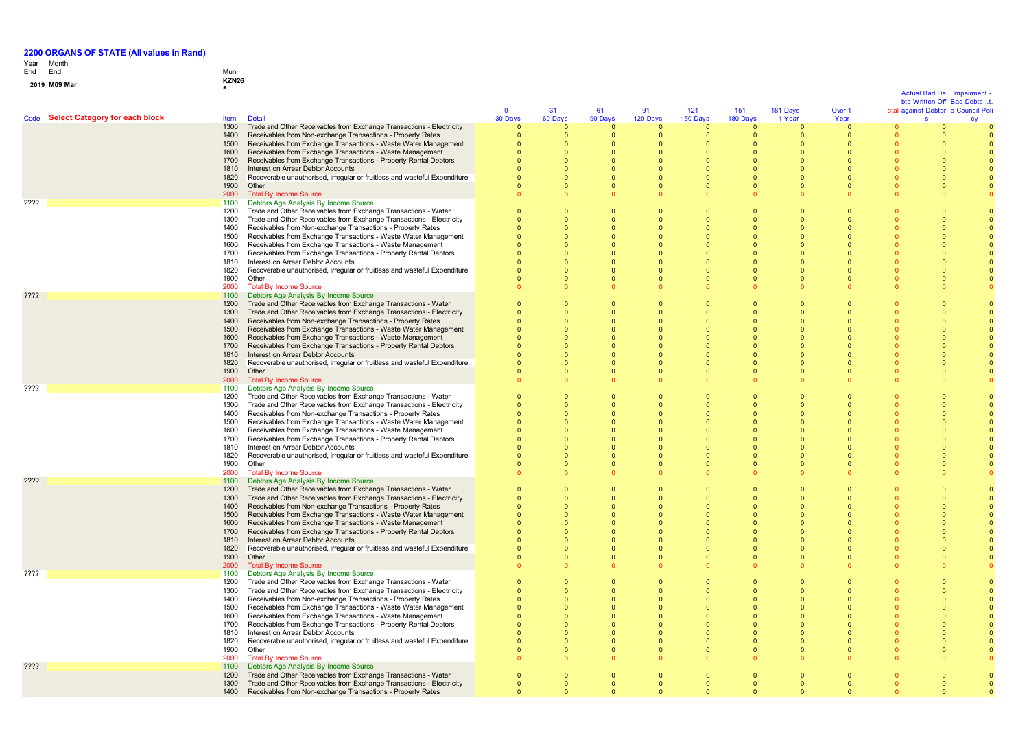# Year End Month End Mun

# **0 1 <sup>9</sup> M09 Mar KZN26 <sup>1</sup>**

|                 |                                     |              |                                                                                                                                |                      |                      |                      |                      |                      |                      |                          |                      | <b>Actual Bad De</b><br>bts Written Off Bad Debts i.t | Imnairment |
|-----------------|-------------------------------------|--------------|--------------------------------------------------------------------------------------------------------------------------------|----------------------|----------------------|----------------------|----------------------|----------------------|----------------------|--------------------------|----------------------|-------------------------------------------------------|------------|
|                 |                                     |              |                                                                                                                                | $0 -$                | $31 -$               | $61 -$               | $91 -$               | $121 -$              | $151 -$              | 181 Days -               | Over 1               | Total against Debtor o Council Poli                   |            |
|                 | Code Select Category for each block | <b>Item</b>  | <b>Detail</b>                                                                                                                  | 30 Days              | 60 Days              | 90 Days              | 120 Days             | 150 Days             | 180 Days             | 1 Year                   | Year                 |                                                       |            |
|                 |                                     | 1300         | Trade and Other Receivables from Exchange Transactions - Electricity                                                           | $\Omega$             |                      |                      |                      |                      | $\Omega$             | $\Omega$                 | $\overline{0}$       |                                                       |            |
|                 |                                     | 1400         | Receivables from Non-exchange Transactions - Property Rates                                                                    |                      | $\mathbf 0$          | $\mathbf{0}$         | 0                    | $\mathbf{0}$         | $\mathbf 0$          | $\mathbf 0$              | $\overline{0}$       |                                                       |            |
|                 |                                     | 1500         | Receivables from Exchange Transactions - Waste Water Management                                                                |                      | $\Omega$             | $\Omega$             | $\Omega$             | $\Omega$             | $\Omega$             | $\Omega$                 | $\Omega$             |                                                       |            |
|                 |                                     | 1600         | Receivables from Exchange Transactions - Waste Management                                                                      |                      | $\Omega$             | $\Omega$             | $\Omega$             | $\Omega$             | $\Omega$             | $\Omega$                 | $\Omega$             |                                                       |            |
|                 |                                     | 1700         | Receivables from Exchange Transactions - Property Rental Debtors                                                               |                      | $\Omega$             | $\Omega$             | $\Omega$             | $\Omega$             | $\Omega$             | $\Omega$                 | $\Omega$             |                                                       |            |
|                 |                                     | 1810         | Interest on Arrear Debtor Accounts                                                                                             |                      | $\Omega$             | $\Omega$             | $\Omega$             | $\Omega$             | $\Omega$             | $\Omega$                 | $\Omega$             |                                                       |            |
|                 |                                     | 1820         | Recoverable unauthorised, irregular or fruitless and wasteful Expenditure                                                      |                      | $\Omega$             | $\mathbf{0}$         |                      | $\Omega$             | $\Omega$             | $\mathbf{0}$             | $\Omega$             |                                                       |            |
|                 |                                     | 1900         | Other                                                                                                                          |                      | $\Omega$             | $\Omega$             | $\Omega$             |                      | $\Omega$             | $\Omega$                 | $\Omega$             |                                                       |            |
|                 |                                     | 2000         | <b>Total By Income Source</b>                                                                                                  |                      | $\Omega$             | $\Omega$             |                      |                      | $\Omega$             | $\Omega$                 | $\Omega$             |                                                       |            |
| ????            |                                     | 1100<br>1200 | Debtors Age Analysis By Income Source<br>Trade and Other Receivables from Exchange Transactions - Water                        | $\Omega$             | $\Omega$             | $\Omega$             | $\Omega$             |                      | $\Omega$             | $\Omega$                 | $\Omega$             |                                                       |            |
|                 |                                     | 1300         | Trade and Other Receivables from Exchange Transactions - Electricity                                                           |                      | $\Omega$             | $\Omega$             | $\Omega$             |                      | $\Omega$             | $\Omega$                 |                      |                                                       |            |
|                 |                                     | 1400         | Receivables from Non-exchange Transactions - Property Rates                                                                    |                      | $\Omega$             | $\Omega$             | $\Omega$             |                      |                      | $\Omega$                 |                      |                                                       |            |
|                 |                                     | 1500         | Receivables from Exchange Transactions - Waste Water Management                                                                | $\Omega$             | $\Omega$             | $\Omega$             | $\Omega$             | $\Omega$             | $\Omega$             | $\Omega$                 | $\Omega$             |                                                       |            |
|                 |                                     | 1600         | Receivables from Exchange Transactions - Waste Management                                                                      | $\Omega$             | $\Omega$             | $\Omega$             | $\Omega$             | $\Omega$             | $\Omega$             | $\Omega$                 | $\Omega$             |                                                       |            |
|                 |                                     | 1700         | Receivables from Exchange Transactions - Property Rental Debtors                                                               | $\Omega$             | $\Omega$             | $\Omega$             | $\Omega$             |                      | $\Omega$             | $\Omega$                 | $\Omega$             |                                                       |            |
|                 |                                     | 1810         | Interest on Arrear Debtor Accounts                                                                                             |                      | $\Omega$             | $\Omega$             |                      |                      | $\Omega$             | $\Omega$                 | $\Omega$             |                                                       |            |
|                 |                                     | 1820         | Recoverable unauthorised, irregular or fruitless and wasteful Expenditure                                                      |                      | $\Omega$             | $\Omega$             |                      |                      | $\Omega$             | $\Omega$                 | $\Omega$             |                                                       |            |
|                 |                                     | 1900         | Other                                                                                                                          |                      | $\Omega$             | $\mathbf{0}$         | $\Omega$             |                      | $\Omega$             | $\mathbf{0}$             | $\overline{0}$       |                                                       |            |
|                 |                                     | 2000         | <b>Total By Income Source</b>                                                                                                  |                      | $\Omega$             | $\Omega$             |                      |                      | $\Omega$             | $\Omega$                 | $\Omega$             |                                                       |            |
| 7777            |                                     | 1100         | Debtors Age Analysis By Income Source                                                                                          |                      |                      |                      |                      |                      |                      |                          |                      |                                                       |            |
|                 |                                     | 1200         | Trade and Other Receivables from Exchange Transactions - Water                                                                 |                      | $\Omega$             | $\Omega$             | $\Omega$             | $\Omega$             | $\Omega$             | $\Omega$                 | $\Omega$             |                                                       |            |
|                 |                                     | 1300         | Trade and Other Receivables from Exchange Transactions - Electricity                                                           |                      | $\Omega$             | $\Omega$             |                      |                      | $\Omega$             | $\Omega$                 | $\Omega$             |                                                       |            |
|                 |                                     | 1400<br>1500 | Receivables from Non-exchange Transactions - Property Rates<br>Receivables from Exchange Transactions - Waste Water Management |                      | $\Omega$<br>$\Omega$ | $\Omega$<br>$\Omega$ | $\Omega$<br>$\Omega$ | $\Omega$             | $\Omega$<br>$\Omega$ | $\Omega$<br>$\Omega$     | $\Omega$<br>$\Omega$ |                                                       |            |
|                 |                                     | 1600         | Receivables from Exchange Transactions - Waste Management                                                                      |                      | $\Omega$             | $\Omega$             | $\Omega$             | $\Omega$             | $\Omega$             | $\Omega$                 | $\Omega$             |                                                       |            |
|                 |                                     | 1700         | Receivables from Exchange Transactions - Property Rental Debtors                                                               |                      | $\Omega$             | $\Omega$             | $\Omega$             |                      | $\Omega$             | $\Omega$                 | $\Omega$             |                                                       |            |
|                 |                                     | 1810         | Interest on Arrear Debtor Accounts                                                                                             |                      | $\Omega$             | $\Omega$             | $\Omega$             |                      |                      | $\Omega$                 | $\Omega$             |                                                       |            |
|                 |                                     | 1820         | Recoverable unauthorised, irregular or fruitless and wasteful Expenditure                                                      |                      | $\Omega$             | $\Omega$             |                      |                      |                      | $\Omega$                 | $\Omega$             |                                                       |            |
|                 |                                     | 1900         | Other                                                                                                                          |                      | $\Omega$             | $\Omega$             | $\Omega$             |                      | $\Omega$             | $\mathbf{0}$             | $\Omega$             |                                                       |            |
|                 |                                     | 2000         | <b>Total By Income Source</b>                                                                                                  |                      | $\Omega$             | $\Omega$             |                      |                      |                      | $\Omega$                 |                      |                                                       |            |
| ????            |                                     | 1100         | Debtors Age Analysis By Income Source                                                                                          |                      |                      |                      |                      |                      |                      |                          |                      |                                                       |            |
|                 |                                     | 1200         | Trade and Other Receivables from Exchange Transactions - Water                                                                 | $\sqrt{2}$           | $\Omega$             | $\Omega$             | $\Omega$             |                      | $\Omega$             | $\mathbf{0}$             |                      |                                                       |            |
|                 |                                     | 1300         | Trade and Other Receivables from Exchange Transactions - Electricity                                                           |                      | $\Omega$             |                      |                      |                      |                      | $\Omega$                 |                      |                                                       |            |
|                 |                                     | 1400         | Receivables from Non-exchange Transactions - Property Rates                                                                    |                      | $\Omega$             | $\Omega$             |                      |                      | $\Omega$             | $\Omega$                 |                      |                                                       |            |
|                 |                                     | 1500         | Receivables from Exchange Transactions - Waste Water Management                                                                | $\sqrt{2}$           | $\Omega$             | $\Omega$             | $\Omega$             | $\Omega$             | $\Omega$             | $\Omega$                 | $\Omega$             |                                                       |            |
|                 |                                     | 1600<br>1700 | Receivables from Exchange Transactions - Waste Management<br>Receivables from Exchange Transactions - Property Rental Debtors  | $\Omega$<br>$\Omega$ | $\Omega$<br>$\Omega$ | $\Omega$<br>$\Omega$ | $\Omega$<br>$\Omega$ | $\Omega$<br>$\Omega$ | $\Omega$<br>$\Omega$ | $\Omega$<br>$\Omega$     | $\Omega$<br>$\Omega$ |                                                       |            |
|                 |                                     | 1810         | Interest on Arrear Debtor Accounts                                                                                             |                      | $\Omega$             | $\mathbf{0}$         |                      |                      |                      | $\mathbf{0}$             | $\Omega$             |                                                       |            |
|                 |                                     | 1820         | Recoverable unauthorised, irregular or fruitless and wasteful Expenditure                                                      |                      | $\Omega$             | $\Omega$             |                      |                      |                      | $\Omega$                 |                      |                                                       |            |
|                 |                                     | 1900         | Other                                                                                                                          |                      | $\Omega$             | $\mathbf{0}$         | $\Omega$             | $\Omega$             | $\mathbf{0}$         | $\mathbf{0}$             | $\overline{0}$       |                                                       |            |
|                 |                                     | 2000         | <b>Total By Income Source</b>                                                                                                  |                      | $\Omega$             | $\Omega$             |                      |                      | $\Omega$             | $\Omega$                 | $\Omega$             |                                                       |            |
| $??\mathsf{??}$ |                                     | 1100         | Debtors Age Analysis By Income Source                                                                                          |                      |                      |                      |                      |                      |                      |                          |                      |                                                       |            |
|                 |                                     | 1200         | Trade and Other Receivables from Exchange Transactions - Water                                                                 | $\Omega$             | $\mathbf{0}$         | $\overline{0}$       | $\Omega$             |                      | $\overline{0}$       | $\mathbf{0}$             | $\overline{0}$       |                                                       |            |
|                 |                                     | 1300         | Trade and Other Receivables from Exchange Transactions - Electricity                                                           |                      | $\Omega$             |                      |                      |                      |                      | $\Omega$                 | $\Omega$             |                                                       |            |
|                 |                                     | 1400         | Receivables from Non-exchange Transactions - Property Rates                                                                    |                      | $\Omega$             |                      |                      |                      |                      | $\Omega$                 | $\Omega$             |                                                       |            |
|                 |                                     | 1500         | Receivables from Exchange Transactions - Waste Water Management                                                                |                      | $\Omega$             | $\Omega$             | $\Omega$             | $\Omega$             | $\Omega$             | $\Omega$                 | $\Omega$             |                                                       |            |
|                 |                                     | 1600         | Receivables from Exchange Transactions - Waste Management                                                                      | $\Omega$             | $\Omega$             | $\Omega$             | $\Omega$             | $\Omega$             | $\Omega$             | $\Omega$                 | $\Omega$             |                                                       |            |
|                 |                                     | 1700         | Receivables from Exchange Transactions - Property Rental Debtors                                                               |                      | $\Omega$             | $\Omega$             |                      |                      |                      | $\Omega$                 | $\Omega$             |                                                       |            |
|                 |                                     | 1810<br>1820 | Interest on Arrear Debtor Accounts<br>Recoverable unauthorised, irregular or fruitless and wasteful Expenditure                |                      | $\Omega$<br>$\Omega$ | $\Omega$<br>$\Omega$ |                      |                      |                      | $\mathbf{0}$<br>$\Omega$ | $\Omega$<br>$\Omega$ |                                                       |            |
|                 |                                     | 1900         | Other                                                                                                                          | $\Omega$             | $\Omega$             | $\Omega$             | $\Omega$             |                      | $\Omega$             | $\Omega$                 | $\Omega$             |                                                       |            |
|                 |                                     | 2000         | <b>Total By Income Source</b>                                                                                                  |                      | $\Omega$             | $\Omega$             |                      |                      |                      | $\Omega$                 |                      |                                                       |            |
| ????            |                                     | 1100         | Debtors Age Analysis By Income Source                                                                                          |                      |                      |                      |                      |                      |                      |                          |                      |                                                       |            |
|                 |                                     | 1200         | Trade and Other Receivables from Exchange Transactions - Water                                                                 |                      | $\Omega$             | $\Omega$             | $\Omega$             |                      | $\Omega$             | $\mathbf{0}$             |                      |                                                       |            |
|                 |                                     | 1300         | Trade and Other Receivables from Exchange Transactions - Electricity                                                           |                      |                      |                      |                      |                      |                      | $\Omega$                 |                      |                                                       |            |
|                 |                                     | 1400         | Receivables from Non-exchange Transactions - Property Rates                                                                    |                      | $\Omega$             | $\Omega$             | $\Omega$             | $\Omega$             | $\Omega$             | $\Omega$                 | $\Omega$             |                                                       |            |
|                 |                                     | 1500         | Receivables from Exchange Transactions - Waste Water Management                                                                | $\Omega$             | $\Omega$             | $\Omega$             | $\Omega$             | $\Omega$             | $\Omega$             | $\Omega$                 | $\Omega$             |                                                       |            |
|                 |                                     | 1600         | Receivables from Exchange Transactions - Waste Management                                                                      | $\Omega$             | $\Omega$             | $\Omega$             | $\Omega$             | $\sqrt{ }$           | $\Omega$             | $\Omega$                 | $\Omega$             |                                                       |            |
|                 |                                     | 1700         | Receivables from Exchange Transactions - Property Rental Debtors                                                               |                      | $\Omega$             | $\Omega$             | $\Omega$             |                      | $\Omega$             | $\Omega$                 | $\Omega$             |                                                       |            |
|                 |                                     | 1810         | Interest on Arrear Debtor Accounts                                                                                             |                      | $\Omega$             | $\mathbf{0}$         |                      |                      | $\overline{0}$       | $\mathbf{0}$             | $\Omega$             |                                                       |            |
|                 |                                     | 1820         | Recoverable unauthorised, irregular or fruitless and wasteful Expenditure                                                      |                      | $\Omega$             | $\Omega$             | $\Omega$             | $\Omega$             | $\Omega$             | $\Omega$                 | $\Omega$             |                                                       |            |
|                 |                                     | 1900         | Other                                                                                                                          |                      | $\Omega$             | $\Omega$<br>$\Omega$ | $\Omega$             |                      | $\Omega$             | $\Omega$                 | $\Omega$<br>$\Omega$ |                                                       |            |
| ????            |                                     | 2000<br>1100 | <b>Total By Income Source</b><br>Debtors Age Analysis By Income Source                                                         |                      | $\Omega$             |                      |                      |                      |                      | $\Omega$                 |                      |                                                       |            |
|                 |                                     | 1200         | Trade and Other Receivables from Exchange Transactions - Water                                                                 |                      | $\mathbf{0}$         | $\mathbf{0}$         | $\overline{0}$       | $\Omega$             | $\overline{0}$       | $\mathbf{0}$             | $\overline{0}$       |                                                       |            |
|                 |                                     | 1300         | Trade and Other Receivables from Exchange Transactions - Electricity                                                           |                      | $\Omega$             | $\Omega$             | $\Omega$             | $\Omega$             | $\Omega$             | $\Omega$                 | $\Omega$             |                                                       |            |
|                 |                                     | 1400         | Receivables from Non-exchange Transactions - Property Rates                                                                    |                      | $\Omega$             |                      |                      |                      |                      | $\Omega$                 |                      |                                                       |            |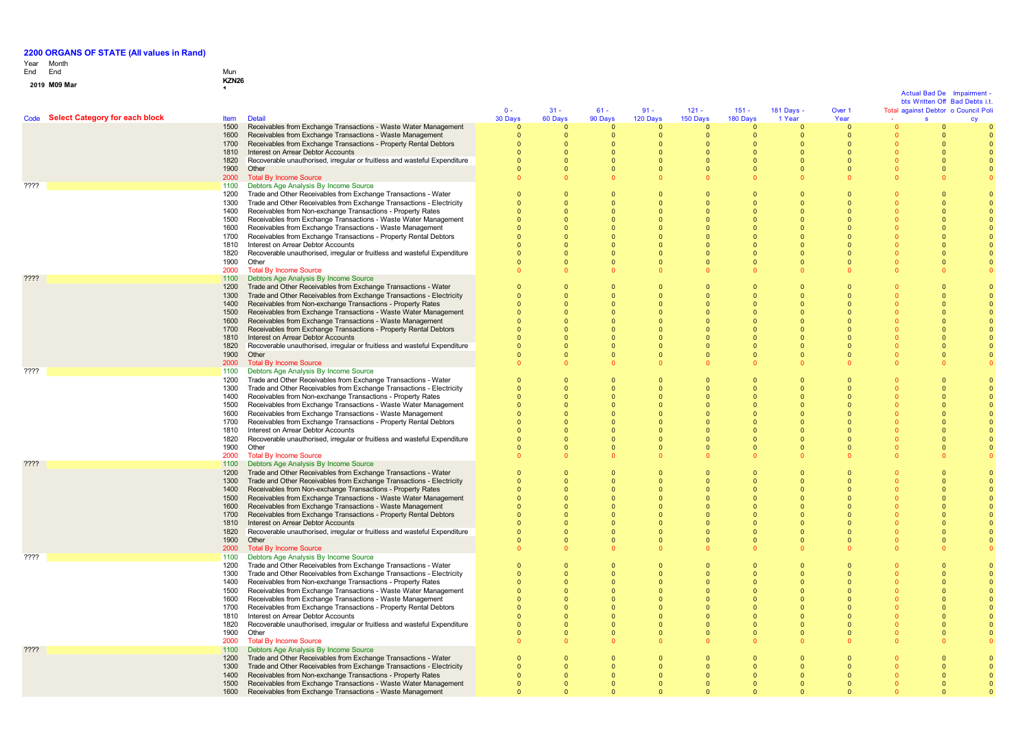# Year End Month End Mun

# **0 1 <sup>9</sup> M09 Mar KZN26 <sup>1</sup>**

 $\mathbf{0}$ 

|                 |                                     |                     |                                                                                                                                     |                      |                            |                              |                            |                      |                          |                            |                            | Actual Bad De<br>bts Written Off Bad Debts i.t. |                                     |
|-----------------|-------------------------------------|---------------------|-------------------------------------------------------------------------------------------------------------------------------------|----------------------|----------------------------|------------------------------|----------------------------|----------------------|--------------------------|----------------------------|----------------------------|-------------------------------------------------|-------------------------------------|
|                 |                                     |                     |                                                                                                                                     | $0 -$                | $31 -$                     | $61 -$                       | $91 -$                     | $121 -$              | $151 -$                  | 181 Days -                 | Over 1                     |                                                 | Total against Debtor o Council Poli |
|                 | Code Select Category for each block | <b>Item</b><br>1500 | <b>Detail</b><br>Receivables from Exchange Transactions - Waste Water Management                                                    | 30 Days<br>$\Omega$  | 60 Days<br>$\Omega$        | 90 Days<br>$\mathbf{0}$      | 120 Days<br>$\Omega$       | 150 Days<br>$\Omega$ | 180 Days<br>$\Omega$     | 1 Year                     | Year<br>$\Omega$           | $\mathbf{s}$                                    |                                     |
|                 |                                     | 1600                | Receivables from Exchange Transactions - Waste Management                                                                           |                      | $\mathbf{0}$               | $\mathbf{0}$                 | - 0                        | $\mathbf{0}$         | $\mathbf{0}$             | $\mathbf{0}$               | $\overline{\mathbf{0}}$    |                                                 |                                     |
|                 |                                     | 1700                | Receivables from Exchange Transactions - Property Rental Debtors                                                                    |                      | $\Omega$                   | $\Omega$                     | $\Omega$                   | $\Omega$             | $\Omega$                 | $\Omega$                   | $\overline{0}$             | $\Omega$                                        |                                     |
|                 |                                     | 1810                | Interest on Arrear Debtor Accounts                                                                                                  |                      | $\Omega$<br>$\Omega$       | $\Omega$                     | $\Omega$<br>$\Omega$       | $\Omega$<br>$\Omega$ | $\Omega$<br>$\Omega$     | $\Omega$<br>$\Omega$       | $\Omega$<br>$\Omega$       | $\Omega$<br>$\Omega$                            |                                     |
|                 |                                     | 1820<br>1900        | Recoverable unauthorised, irregular or fruitless and wasteful Expenditure<br>Other                                                  | $\Omega$             | $\Omega$                   | $\mathbf{0}$<br>$\mathbf{0}$ | $\Omega$                   | $\Omega$             | $\Omega$                 | $\Omega$                   | $\Omega$                   | $\Omega$                                        |                                     |
|                 |                                     | 2000                | <b>Total By Income Source</b>                                                                                                       |                      |                            | $\Omega$                     |                            |                      | $\Omega$                 | $\Omega$                   |                            |                                                 |                                     |
| ????            |                                     | 1100                | Debtors Age Analysis By Income Source                                                                                               |                      |                            |                              |                            |                      |                          |                            |                            |                                                 |                                     |
|                 |                                     | 1200                | Trade and Other Receivables from Exchange Transactions - Water                                                                      | $\Omega$             | $\Omega$                   | $\Omega$                     | $\Omega$                   |                      | $\Omega$                 | $\Omega$                   | $\Omega$                   |                                                 |                                     |
|                 |                                     | 1300<br>1400        | Trade and Other Receivables from Exchange Transactions - Electricity<br>Receivables from Non-exchange Transactions - Property Rates | $\Omega$<br>$\Omega$ | $\mathbf 0$<br>$\Omega$    | $\mathbf{0}$<br>$\Omega$     | - 0<br>- 0                 |                      | $\Omega$<br>$\Omega$     | $\Omega$<br>$\Omega$       | $\Omega$<br>$\Omega$       | $\Omega$<br>n                                   |                                     |
|                 |                                     | 1500                | Receivables from Exchange Transactions - Waste Water Management                                                                     | $\Omega$             | $\Omega$                   | $\mathbf{0}$                 | - 0                        |                      | $\mathbf{0}$             | $\Omega$                   | $\Omega$                   |                                                 |                                     |
|                 |                                     | 1600                | Receivables from Exchange Transactions - Waste Management                                                                           |                      | $\Omega$                   | $\mathbf{0}$                 | $\Omega$                   |                      | $\Omega$                 | $\Omega$                   | $\Omega$                   |                                                 |                                     |
|                 |                                     | 1700                | Receivables from Exchange Transactions - Property Rental Debtors                                                                    |                      | $\Omega$                   | $\Omega$                     | $\Omega$                   | $\Omega$             | $\Omega$                 | $\Omega$                   | $\Omega$                   |                                                 |                                     |
|                 |                                     | 1810                | Interest on Arrear Debtor Accounts                                                                                                  | $\Omega$             | $\Omega$                   | $\Omega$                     | $\Omega$                   | $\Omega$<br>$\Omega$ | $\Omega$                 | $\Omega$                   | $\Omega$<br>$\Omega$       | $\sqrt{ }$                                      |                                     |
|                 |                                     | 1820<br>1900        | Recoverable unauthorised, irregular or fruitless and wasteful Expenditure<br>Other                                                  |                      | $\Omega$<br>$\Omega$       | $\mathbf{0}$<br>$\mathbf{0}$ | $\Omega$<br>$\Omega$       | $\Omega$             | $\Omega$<br>$\Omega$     | $\Omega$<br>$\Omega$       | $\Omega$                   | $\Omega$                                        |                                     |
|                 |                                     | 2000                | <b>Total By Income Source</b>                                                                                                       |                      |                            | $\Omega$                     |                            |                      | $\Omega$                 | $\Omega$                   |                            |                                                 |                                     |
| ????            |                                     | 1100                | Debtors Age Analysis By Income Source                                                                                               |                      |                            |                              |                            |                      |                          |                            |                            |                                                 |                                     |
|                 |                                     | 1200                | Trade and Other Receivables from Exchange Transactions - Water                                                                      | $\Omega$             | $\Omega$                   | $\Omega$                     | $\Omega$                   |                      | $\Omega$                 | $\Omega$                   | $\Omega$                   | $\Omega$                                        |                                     |
|                 |                                     | 1300<br>1400        | Trade and Other Receivables from Exchange Transactions - Electricity<br>Receivables from Non-exchange Transactions - Property Rates |                      | $\Omega$<br>$\Omega$       | $\mathbf{0}$<br>$\Omega$     | $\Omega$<br>$\Omega$       | $\Omega$<br>$\Omega$ | $\Omega$<br>$\Omega$     | $\Omega$<br>$\Omega$       | $\Omega$<br>$\Omega$       | $\Omega$<br>$\Omega$                            |                                     |
|                 |                                     | 1500                | Receivables from Exchange Transactions - Waste Water Management                                                                     |                      |                            | $\Omega$                     |                            |                      |                          | $\Omega$                   | $\Omega$                   |                                                 |                                     |
|                 |                                     | 1600                | Receivables from Exchange Transactions - Waste Management                                                                           |                      |                            | $\mathbf{0}$                 |                            |                      | $\Omega$                 | $\Omega$                   | $\Omega$                   |                                                 |                                     |
|                 |                                     | 1700                | Receivables from Exchange Transactions - Property Rental Debtors                                                                    |                      | $\Omega$                   | $\Omega$                     |                            |                      | $\Omega$                 | $\Omega$                   | $\Omega$                   |                                                 |                                     |
|                 |                                     | 1810                | Interest on Arrear Debtor Accounts                                                                                                  |                      | $\Omega$                   | $\Omega$                     |                            |                      | $\Omega$                 | $\Omega$                   | $\Omega$                   |                                                 |                                     |
|                 |                                     | 1820<br>1900        | Recoverable unauthorised, irregular or fruitless and wasteful Expenditure<br>Other                                                  |                      | $\Omega$<br>$\Omega$       | $\mathbf{0}$<br>$\Omega$     | $\Omega$<br>$\Omega$       | $\Omega$<br>$\Omega$ | $\Omega$<br>$\Omega$     | $\Omega$<br>$\Omega$       | $\Omega$<br>$\Omega$       | $\Omega$<br>$\Omega$                            |                                     |
|                 |                                     | 2000                | <b>Total By Income Source</b>                                                                                                       |                      |                            | $\Omega$                     |                            |                      |                          |                            |                            |                                                 |                                     |
| ????            |                                     | 1100                | Debtors Age Analysis By Income Source                                                                                               |                      |                            |                              |                            |                      |                          |                            |                            |                                                 |                                     |
|                 |                                     | 1200                | Trade and Other Receivables from Exchange Transactions - Water                                                                      | $\Omega$             | $\Omega$                   | $\Omega$                     | $\Omega$                   |                      | $\Omega$                 | $\Omega$                   | $\Omega$                   |                                                 |                                     |
|                 |                                     | 1300                | Trade and Other Receivables from Exchange Transactions - Electricity                                                                | $\Omega$<br>$\Omega$ | $\Omega$                   | $\mathbf{0}$                 | - 0<br>- 0                 |                      | $\Omega$                 | $\Omega$<br>$\Omega$       | $\Omega$<br>$\Omega$       | $\Omega$<br>$\Omega$                            |                                     |
|                 |                                     | 1400<br>1500        | Receivables from Non-exchange Transactions - Property Rates<br>Receivables from Exchange Transactions - Waste Water Management      |                      | $\mathbf 0$                | $\mathbf{0}$<br>$\Omega$     |                            |                      | $\mathbf{0}$<br>$\Omega$ |                            |                            |                                                 |                                     |
|                 |                                     | 1600                | Receivables from Exchange Transactions - Waste Management                                                                           |                      |                            | $\mathbf{0}$                 |                            |                      | $\Omega$                 | $\Omega$                   | $\Omega$                   |                                                 |                                     |
|                 |                                     | 1700                | Receivables from Exchange Transactions - Property Rental Debtors                                                                    |                      | $\Omega$                   | $\Omega$                     | $\Omega$                   | $\Omega$             | $\Omega$                 | $\Omega$                   | $\Omega$                   |                                                 |                                     |
|                 |                                     | 1810                | Interest on Arrear Debtor Accounts                                                                                                  |                      | $\Omega$                   | $\Omega$                     | $\Omega$                   | $\Omega$             | $\Omega$                 | $\Omega$                   | $\Omega$                   |                                                 |                                     |
|                 |                                     | 1820<br>1900        | Recoverable unauthorised, irregular or fruitless and wasteful Expenditure<br>Other                                                  |                      | $\Omega$<br>$\overline{0}$ | $\mathbf{0}$<br>$\mathbf{0}$ | $\Omega$                   | $\Omega$             | $\Omega$<br>$\mathbf 0$  | $\Omega$<br>$\overline{0}$ | $\Omega$<br>$\overline{0}$ |                                                 |                                     |
|                 |                                     | 2000                | <b>Total By Income Source</b>                                                                                                       |                      |                            | $\Omega$                     |                            |                      |                          |                            |                            |                                                 |                                     |
| $??\mathsf{??}$ |                                     | 1100                | Debtors Age Analysis By Income Source                                                                                               |                      |                            |                              |                            |                      |                          |                            |                            |                                                 |                                     |
|                 |                                     | 1200                | Trade and Other Receivables from Exchange Transactions - Water                                                                      | $\Omega$             | $\Omega$                   | $\Omega$                     | $\Omega$                   | $\Omega$             | $\Omega$                 | $\Omega$                   | $\Omega$                   | $\Omega$                                        |                                     |
|                 |                                     | 1300                | Trade and Other Receivables from Exchange Transactions - Electricity                                                                |                      | $\mathbf 0$                | $\mathbf{0}$                 | $\Omega$                   | $\Omega$             | $\Omega$                 | $\Omega$                   | $\Omega$                   | $\Omega$                                        |                                     |
|                 |                                     | 1400<br>1500        | Receivables from Non-exchange Transactions - Property Rates<br>Receivables from Exchange Transactions - Waste Water Management      |                      | $\Omega$                   | $\mathbf{0}$<br>$\Omega$     |                            |                      |                          | $\Omega$<br>$\Omega$       | $\Omega$                   |                                                 |                                     |
|                 |                                     | 1600                | Receivables from Exchange Transactions - Waste Management                                                                           |                      |                            | $\Omega$                     |                            |                      |                          | $\Omega$                   | $\Omega$                   |                                                 |                                     |
|                 |                                     | 1700                | Receivables from Exchange Transactions - Property Rental Debtors                                                                    |                      | $\Omega$                   | $\Omega$                     |                            |                      |                          | $\Omega$                   | $\sqrt{ }$                 |                                                 |                                     |
|                 |                                     | 1810                | Interest on Arrear Debtor Accounts                                                                                                  |                      | $\Omega$                   | $\Omega$                     | $\Omega$                   |                      | $\Omega$                 | $\Omega$                   | $\Omega$                   |                                                 |                                     |
|                 |                                     | 1820<br>1900        | Recoverable unauthorised, irregular or fruitless and wasteful Expenditure<br>Other                                                  |                      | $\Omega$                   | $\mathbf{0}$<br>$\mathbf{0}$ |                            |                      | $\Omega$                 | $\Omega$<br>$\overline{0}$ | $\Omega$<br>$\Omega$       |                                                 |                                     |
|                 |                                     | 2000                | <b>Total By Income Source</b>                                                                                                       |                      |                            |                              |                            |                      |                          |                            |                            |                                                 |                                     |
| ????            |                                     | 1100                | Debtors Age Analysis By Income Source                                                                                               |                      |                            |                              |                            |                      |                          |                            |                            |                                                 |                                     |
|                 |                                     | 1200                | Trade and Other Receivables from Exchange Transactions - Water                                                                      | $\Omega$             | $\Omega$                   | $\mathbf{0}$                 | $\Omega$                   |                      | $\Omega$                 | $\Omega$                   | $\Omega$                   |                                                 |                                     |
|                 |                                     | 1300<br>1400        | Trade and Other Receivables from Exchange Transactions - Electricity<br>Receivables from Non-exchange Transactions - Property Rates | $\Omega$             | $\Omega$<br>$\Omega$       | $\mathbf{0}$<br>$\mathbf{0}$ | $\Omega$                   | $\Omega$             | $\Omega$<br>$\mathbf 0$  | $\Omega$<br>$\Omega$       | $\Omega$<br>$\Omega$       | $\Omega$                                        |                                     |
|                 |                                     | 1500                | Receivables from Exchange Transactions - Waste Water Management                                                                     |                      |                            | $\Omega$                     |                            |                      |                          |                            |                            |                                                 |                                     |
|                 |                                     | 1600                | Receivables from Exchange Transactions - Waste Management                                                                           |                      | $\Omega$                   | $\Omega$                     | $\Omega$                   |                      | $\Omega$                 | $\Omega$                   | $\Omega$                   |                                                 |                                     |
|                 |                                     | 1700                | Receivables from Exchange Transactions - Property Rental Debtors                                                                    |                      | $\Omega$                   | $\Omega$                     | $\Omega$                   | $\Omega$             | $\Omega$                 | $\Omega$                   | $\Omega$                   |                                                 |                                     |
|                 |                                     | 1810                | Interest on Arrear Debtor Accounts                                                                                                  |                      | $\Omega$                   | $\Omega$                     | $\Omega$                   | $\Omega$             | $\Omega$                 | $\Omega$                   | $\Omega$                   |                                                 |                                     |
|                 |                                     | 1820<br>1900        | Recoverable unauthorised, irregular or fruitless and wasteful Expenditure<br>Other                                                  |                      | $\Omega$<br>$\Omega$       | $\mathbf{0}$<br>$\mathbf{0}$ | $\Omega$                   |                      | $\Omega$<br>$\mathbf{0}$ | $\Omega$<br>$\overline{0}$ | $\Omega$<br>$\overline{0}$ |                                                 |                                     |
|                 |                                     | 2000                | <b>Total By Income Source</b>                                                                                                       |                      |                            | $\Omega$                     |                            |                      |                          | $\Omega$                   |                            |                                                 |                                     |
| ????            |                                     | 1100                | Debtors Age Analysis By Income Source                                                                                               |                      |                            |                              |                            |                      |                          |                            |                            |                                                 |                                     |
|                 |                                     | 1200                | Trade and Other Receivables from Exchange Transactions - Water                                                                      |                      | $\Omega$                   | $\Omega$                     | $\Omega$                   |                      | $\Omega$                 | $\Omega$                   | $\Omega$                   |                                                 |                                     |
|                 |                                     | 1300<br>1400        | Trade and Other Receivables from Exchange Transactions - Electricity<br>Receivables from Non-exchange Transactions - Property Rates |                      | $\Omega$<br>$\mathbf 0$    | $\mathbf{0}$<br>$\mathbf{0}$ | $\Omega$<br>$\overline{0}$ | $\Omega$<br>$\Omega$ | $\Omega$<br>$\mathbf 0$  | $\Omega$<br>$\mathbf{0}$   | $\Omega$<br>$\Omega$       |                                                 |                                     |
|                 |                                     | 1500                | Receivables from Exchange Transactions - Waste Water Management                                                                     |                      | $\Omega$                   | $\Omega$                     | $\Omega$                   |                      |                          | $\Omega$                   | $\Omega$                   |                                                 |                                     |
|                 |                                     | 1600                | Receivables from Exchange Transactions - Waste Management                                                                           |                      |                            | $\Omega$                     |                            |                      |                          |                            |                            |                                                 |                                     |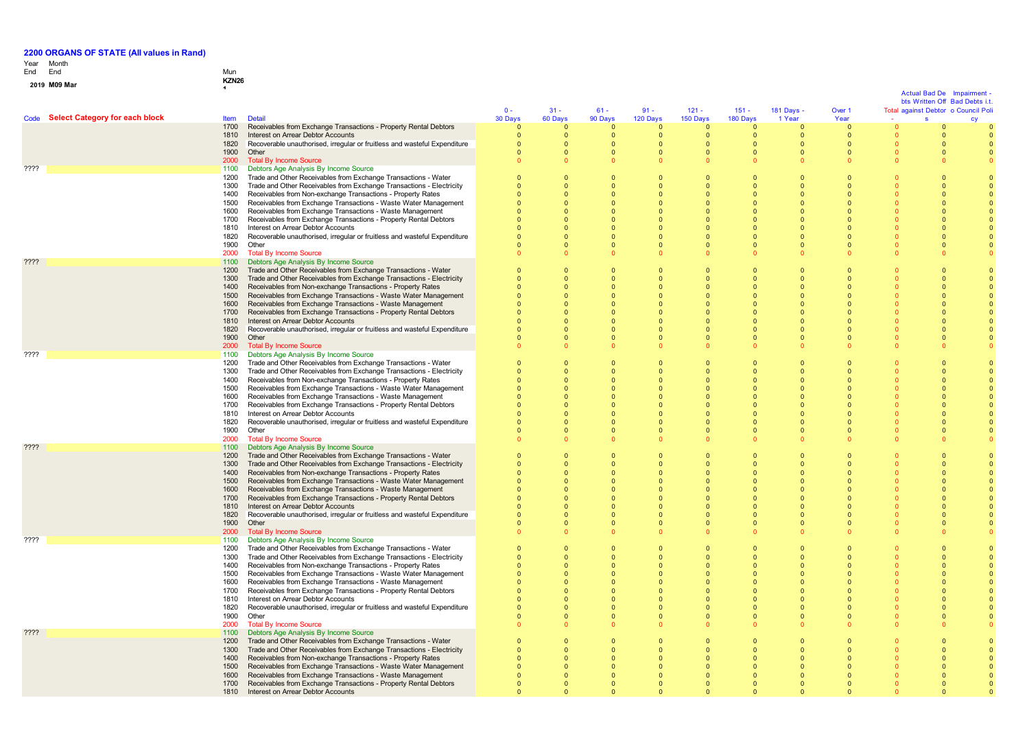# Year End Month End Mun

## **0 1 <sup>9</sup> M09 Mar KZN26 <sup>1</sup>**

|                                     |              |                                                                                                                                        |                              |                              |                                  |                          |                            |                            |                            |                          |                      | Actual Bad De | Impairment<br>bts Written Off Bad Debts i.t. |
|-------------------------------------|--------------|----------------------------------------------------------------------------------------------------------------------------------------|------------------------------|------------------------------|----------------------------------|--------------------------|----------------------------|----------------------------|----------------------------|--------------------------|----------------------|---------------|----------------------------------------------|
|                                     |              |                                                                                                                                        | $0 -$                        | $31 -$                       | $61 -$                           | $91 -$                   | $121 -$                    | $151 -$                    | 181 Days -                 | Over 1                   |                      |               | Total against Debtor o Council Pol           |
| Code Select Category for each block | Item         | <b>Detail</b>                                                                                                                          | 30 Days                      | 60 Days                      | 90 Days                          | 120 Days                 | 150 Days                   | 180 Days                   | 1 Year                     | Year                     |                      | s             |                                              |
|                                     | 1700<br>1810 | Receivables from Exchange Transactions - Property Rental Debtors<br>Interest on Arrear Debtor Accounts                                 | $\mathbf{0}$<br>$\mathbf{0}$ | $\mathbf{0}$<br>$\mathbf{0}$ | $\Omega$<br>$\overline{0}$       | $\Omega$<br>$\mathbf{0}$ | $\Omega$<br>$\overline{0}$ | $\Omega$<br>$\overline{0}$ | $\Omega$<br>$\overline{0}$ | $\Omega$<br>$\mathbf{0}$ | n                    |               |                                              |
|                                     | 1820         | Recoverable unauthorised, irregular or fruitless and wasteful Expenditure                                                              | $\Omega$                     | $\Omega$                     | $\Omega$                         | $\Omega$                 | $\Omega$                   | $\Omega$                   | $\Omega$                   | $\Omega$                 | $\Omega$             | $\Omega$      |                                              |
|                                     | 1900         | Other                                                                                                                                  | $\Omega$                     | $\Omega$                     | $\Omega$                         | $\Omega$                 | $\Omega$                   | $\Omega$                   | $\Omega$                   | $\Omega$                 | $\Omega$             | $\Omega$      |                                              |
|                                     | 2000         | <b>Total By Income Source</b>                                                                                                          | $\Omega$                     | $\Omega$                     |                                  |                          |                            | $\sqrt{2}$                 |                            |                          |                      |               |                                              |
| ????                                | 1100         | Debtors Age Analysis By Income Source                                                                                                  |                              |                              |                                  |                          |                            |                            |                            |                          |                      |               |                                              |
|                                     | 1200<br>1300 | Trade and Other Receivables from Exchange Transactions - Water<br>Trade and Other Receivables from Exchange Transactions - Electricity | $\mathbf{0}$<br>$\Omega$     | $\mathbf{0}$<br>$\Omega$     | $\overline{0}$<br>$\Omega$       |                          | $\Omega$                   | $\Omega$<br>$\Omega$       | $\Omega$<br>$\Omega$       |                          |                      |               |                                              |
|                                     | 1400         | Receivables from Non-exchange Transactions - Property Rates                                                                            | $\Omega$                     | $\Omega$                     | $\Omega$                         |                          | $\Omega$                   | $\Omega$                   | $\Omega$                   |                          |                      |               |                                              |
|                                     | 1500         | Receivables from Exchange Transactions - Waste Water Management                                                                        | $\mathbf{0}$                 | $\mathbf{0}$                 | $\overline{0}$                   |                          | $\Omega$                   | $\Omega$                   | $\Omega$                   |                          |                      |               |                                              |
|                                     | 1600         | Receivables from Exchange Transactions - Waste Management                                                                              | $\Omega$                     | $\Omega$                     | - 0                              |                          | $\Omega$                   | $\Omega$                   | $\Omega$                   |                          |                      |               |                                              |
|                                     | 1700         | Receivables from Exchange Transactions - Property Rental Debtors                                                                       | $\mathbf{0}$                 | $\mathbf{0}$                 | $\overline{0}$                   |                          | $\Omega$                   | $\Omega$                   | $\Omega$                   |                          |                      |               |                                              |
|                                     | 1810         | Interest on Arrear Debtor Accounts                                                                                                     | $\Omega$                     | $\Omega$                     | $\Omega$                         |                          | $\Omega$                   | $\Omega$                   | $\Omega$<br>$\Omega$       |                          |                      |               |                                              |
|                                     | 1820<br>1900 | Recoverable unauthorised, irregular or fruitless and wasteful Expenditure<br>Other                                                     | $\Omega$<br>$\Omega$         | $\Omega$<br>$\Omega$         | $\Omega$<br>$\Omega$             | $\Omega$<br>$\Omega$     | $\Omega$<br>$\Omega$       | $\Omega$<br>$\Omega$       | $\Omega$                   | $\Omega$<br>$\Omega$     | $\Omega$             | $\Omega$      |                                              |
|                                     | 2000         | <b>Total By Income Source</b>                                                                                                          | $\mathbf{0}$                 | $\Omega$                     | $\Omega$                         |                          |                            | $\Omega$                   |                            |                          | $\Omega$             |               |                                              |
| $??\mathsf{??}$                     | 1100         | Debtors Age Analysis By Income Source                                                                                                  |                              |                              |                                  |                          |                            |                            |                            |                          |                      |               |                                              |
|                                     | 1200         | Trade and Other Receivables from Exchange Transactions - Water                                                                         | $\Omega$                     | $\Omega$                     | $\Omega$                         |                          |                            |                            |                            |                          |                      |               |                                              |
|                                     | 1300         | Trade and Other Receivables from Exchange Transactions - Electricity                                                                   | $\mathbf{0}$                 | $\mathbf{0}$                 | $\overline{0}$                   |                          | $\Omega$                   | $\Omega$                   | $\Omega$                   |                          |                      |               |                                              |
|                                     | 1400         | Receivables from Non-exchange Transactions - Property Rates                                                                            | $\Omega$                     | $\Omega$                     | $\Omega$<br>$\Omega$             |                          | $\Omega$<br>$\Omega$       | $\Omega$                   | $\Omega$<br>$\Omega$       |                          |                      |               |                                              |
|                                     | 1500<br>1600 | Receivables from Exchange Transactions - Waste Water Management<br>Receivables from Exchange Transactions - Waste Management           | $\mathbf{0}$<br>$\Omega$     | $\mathbf{0}$<br>$\Omega$     | $\Omega$                         |                          |                            | $\Omega$<br>$\Omega$       | $\Omega$                   |                          |                      |               |                                              |
|                                     | 1700         | Receivables from Exchange Transactions - Property Rental Debtors                                                                       |                              | $\Omega$                     | $\Omega$                         |                          |                            |                            |                            |                          |                      |               |                                              |
|                                     | 1810         | Interest on Arrear Debtor Accounts                                                                                                     |                              | $\Omega$                     | $\Omega$                         |                          |                            |                            |                            |                          |                      |               |                                              |
|                                     | 1820         | Recoverable unauthorised, irregular or fruitless and wasteful Expenditure                                                              | n                            | $\Omega$                     | $\Omega$                         |                          | $\Omega$                   | $\Omega$                   | $\Omega$                   | $\Omega$                 |                      |               |                                              |
|                                     | 1900         | Other                                                                                                                                  | $\Omega$                     | $\Omega$                     | $\Omega$                         | $\Omega$                 | $\Omega$                   | $\Omega$                   | $\Omega$                   | $\Omega$                 |                      | $\Omega$      |                                              |
| ????                                | 2000<br>1100 | <b>Total By Income Source</b><br>Debtors Age Analysis By Income Source                                                                 |                              | $\Omega$                     |                                  |                          |                            | $\Omega$                   |                            |                          |                      |               |                                              |
|                                     | 1200         | Trade and Other Receivables from Exchange Transactions - Water                                                                         | $\Omega$                     | $\Omega$                     | $\Omega$                         |                          |                            |                            | $\Omega$                   |                          |                      |               |                                              |
|                                     | 1300         | Trade and Other Receivables from Exchange Transactions - Electricity                                                                   | $\mathbf{0}$                 | $\mathbf{0}$                 | $\overline{0}$                   |                          | $\Omega$                   | $\Omega$                   | $\Omega$                   |                          |                      |               |                                              |
|                                     | 1400         | Receivables from Non-exchange Transactions - Property Rates                                                                            | $\Omega$                     | $\Omega$                     | $\Omega$                         | $\Omega$                 | $\Omega$                   | $\Omega$                   | $\Omega$                   |                          |                      |               |                                              |
|                                     | 1500         | Receivables from Exchange Transactions - Waste Water Management                                                                        | $\mathbf{0}$                 | $\Omega$                     | $\Omega$                         |                          | $\Omega$                   | $\Omega$                   | $\Omega$                   |                          |                      |               |                                              |
|                                     | 1600         | Receivables from Exchange Transactions - Waste Management                                                                              | $\mathbf{0}$                 | $\mathbf{0}$                 | 0                                |                          | $\Omega$                   | $\mathbf{0}$               | $\Omega$                   |                          |                      |               |                                              |
|                                     | 1700<br>1810 | Receivables from Exchange Transactions - Property Rental Debtors<br>Interest on Arrear Debtor Accounts                                 | $\Omega$<br>$\Omega$         | $\Omega$<br>$\Omega$         | $\Omega$<br>$\Omega$             |                          |                            | $\Omega$                   | $\Omega$<br>$\Omega$       |                          |                      |               |                                              |
|                                     | 1820         | Recoverable unauthorised, irregular or fruitless and wasteful Expenditure                                                              | $\Omega$                     | $\Omega$                     | $\Omega$                         | $\Omega$                 | $\Omega$                   | $\Omega$                   | $\Omega$                   | $\Omega$                 |                      |               |                                              |
|                                     | 1900         | Other                                                                                                                                  | $\Omega$                     | $\Omega$                     | $\Omega$                         | $\Omega$                 | $\Omega$                   | $\Omega$                   | $\Omega$                   | $\Omega$                 |                      | $\Omega$      |                                              |
|                                     | 2000         | <b>Total By Income Source</b>                                                                                                          | $\Omega$                     | $\Omega$                     |                                  |                          |                            | $\Omega$                   |                            |                          | $\Omega$             |               |                                              |
| ????                                | 1100         | Debtors Age Analysis By Income Source                                                                                                  |                              |                              |                                  |                          |                            |                            |                            |                          |                      |               |                                              |
|                                     | 1200<br>1300 | Trade and Other Receivables from Exchange Transactions - Water<br>Trade and Other Receivables from Exchange Transactions - Electricity | $\Omega$<br>$\mathbf{0}$     | $\Omega$<br>$\mathbf{0}$     | $\Omega$<br>$\overline{0}$       |                          | $\Omega$                   | $\Omega$                   | $\Omega$                   |                          |                      |               |                                              |
|                                     | 1400         | Receivables from Non-exchange Transactions - Property Rates                                                                            | $\Omega$                     | $\Omega$                     | $\Omega$                         |                          | $\Omega$                   | $\Omega$                   | $\Omega$                   |                          |                      |               |                                              |
|                                     | 1500         | Receivables from Exchange Transactions - Waste Water Management                                                                        | $\mathbf{0}$                 | $\Omega$                     | $\Omega$                         |                          | $\Omega$                   | $\Omega$                   | $\Omega$                   |                          |                      |               |                                              |
|                                     | 1600         | Receivables from Exchange Transactions - Waste Management                                                                              | 0                            | $\mathbf{0}$                 | $\overline{0}$                   |                          | $\Omega$                   |                            | $\Omega$                   |                          |                      |               |                                              |
|                                     | 1700         | Receivables from Exchange Transactions - Property Rental Debtors                                                                       |                              | $\Omega$                     | $\Omega$                         |                          |                            |                            |                            |                          |                      |               |                                              |
|                                     | 1810<br>1820 | Interest on Arrear Debtor Accounts<br>Recoverable unauthorised, irregular or fruitless and wasteful Expenditure                        | $\Omega$                     | $\Omega$<br>$\Omega$         | $\Omega$<br>$\Omega$             | $\cap$                   | $\Omega$                   | $\Omega$<br>$\Omega$       | $\Omega$<br>$\Omega$       | $\Omega$                 |                      | $\Omega$      |                                              |
|                                     | 1900         | Other                                                                                                                                  | $\Omega$                     | $\Omega$                     | $\Omega$                         | $\Omega$                 | $\Omega$                   | $\Omega$                   | $\Omega$                   | $\Omega$                 | $\Omega$             | $\Omega$      |                                              |
|                                     | 2000         | <b>Total By Income Source</b>                                                                                                          | $\Omega$                     | $\Omega$                     |                                  |                          |                            |                            |                            |                          |                      |               |                                              |
| ????                                | 1100         | Debtors Age Analysis By Income Source                                                                                                  |                              |                              |                                  |                          |                            |                            |                            |                          |                      |               |                                              |
|                                     | 1200         | Trade and Other Receivables from Exchange Transactions - Water                                                                         | $\Omega$                     | $\Omega$                     | $\Omega$                         |                          |                            | $\Omega$                   | $\Omega$                   |                          |                      |               |                                              |
|                                     | 1300<br>1400 | Trade and Other Receivables from Exchange Transactions - Electricity                                                                   | $\Omega$                     | $\Omega$                     | $\Omega$                         | $\Omega$                 | $\Omega$<br>$\Omega$       | $\Omega$<br>$\Omega$       | $\Omega$<br>$\Omega$       |                          |                      | - 0           |                                              |
|                                     | 1500         | Receivables from Non-exchange Transactions - Property Rates<br>Receivables from Exchange Transactions - Waste Water Management         | $\mathbf{0}$<br>$\mathbf{0}$ | $\mathbf{0}$<br>$\Omega$     | $\overline{0}$<br>$\overline{0}$ | $\Omega$<br>$\Omega$     | $\Omega$                   | $\Omega$                   | $\Omega$                   |                          |                      |               |                                              |
|                                     | 1600         | Receivables from Exchange Transactions - Waste Management                                                                              | $\mathbf{0}$                 | $\mathbf{0}$                 | $\overline{0}$                   |                          | $\Omega$                   | $\overline{0}$             | $\Omega$                   |                          |                      |               |                                              |
|                                     | 1700         | Receivables from Exchange Transactions - Property Rental Debtors                                                                       | $\Omega$                     | $\Omega$                     | $\Omega$                         |                          |                            | $\Omega$                   |                            |                          |                      |               |                                              |
|                                     | 1810         | Interest on Arrear Debtor Accounts                                                                                                     | $\Omega$                     | $\Omega$                     | $\Omega$                         | $\Omega$                 | $\Omega$                   | $\Omega$                   | $\Omega$                   | $\Omega$                 |                      |               |                                              |
|                                     | 1820         | Recoverable unauthorised, irregular or fruitless and wasteful Expenditure                                                              | $\Omega$                     | $\Omega$<br>$\Omega$         | $\Omega$<br>$\Omega$             | $\Omega$                 | $\Omega$<br>$\Omega$       | $\Omega$<br>$\Omega$       | $\Omega$<br>$\Omega$       | $\Omega$<br>$\Omega$     | $\Omega$<br>$\Omega$ | $\Omega$      |                                              |
|                                     | 1900<br>2000 | Other<br><b>Total By Income Source</b>                                                                                                 | $\Omega$<br>$\Omega$         | $\Omega$                     |                                  | $\Omega$                 |                            | $\Omega$                   |                            |                          | $\Omega$             | $\Omega$      |                                              |
| $??\mathsf{??}$                     | 1100         | Debtors Age Analysis By Income Source                                                                                                  |                              |                              |                                  |                          |                            |                            |                            |                          |                      |               |                                              |
|                                     | 1200         | Trade and Other Receivables from Exchange Transactions - Water                                                                         | $\Omega$                     | $\Omega$                     | $\Omega$                         |                          |                            | $\Omega$                   | $\Omega$                   |                          |                      |               |                                              |
|                                     | 1300         | Trade and Other Receivables from Exchange Transactions - Electricity                                                                   | $\Omega$                     | $\Omega$                     | $\Omega$                         |                          | $\Omega$                   | $\Omega$                   | $\Omega$                   |                          |                      |               |                                              |
|                                     | 1400         | Receivables from Non-exchange Transactions - Property Rates                                                                            |                              | $\mathbf{0}$                 | 0                                |                          | $\Omega$                   | $\Omega$                   |                            |                          |                      |               |                                              |
|                                     | 1500         | Receivables from Exchange Transactions - Waste Water Management<br>Receivables from Exchange Transactions - Waste Management           |                              | $\mathbf{0}$<br>$\mathbf{0}$ | $\overline{0}$<br>$\overline{0}$ |                          | $\Omega$<br>$\Omega$       | $\Omega$<br>$\Omega$       | $\Omega$<br>$\Omega$       |                          |                      |               |                                              |
|                                     | 1600<br>1700 | Receivables from Exchange Transactions - Property Rental Debtors                                                                       | 0                            | $\mathbf{0}$                 | 0                                |                          |                            |                            |                            |                          |                      |               |                                              |
|                                     | 1810         | Interest on Arrear Debtor Accounts                                                                                                     |                              | $\Omega$                     |                                  |                          |                            |                            |                            |                          |                      |               |                                              |

 $\mathbf{0}$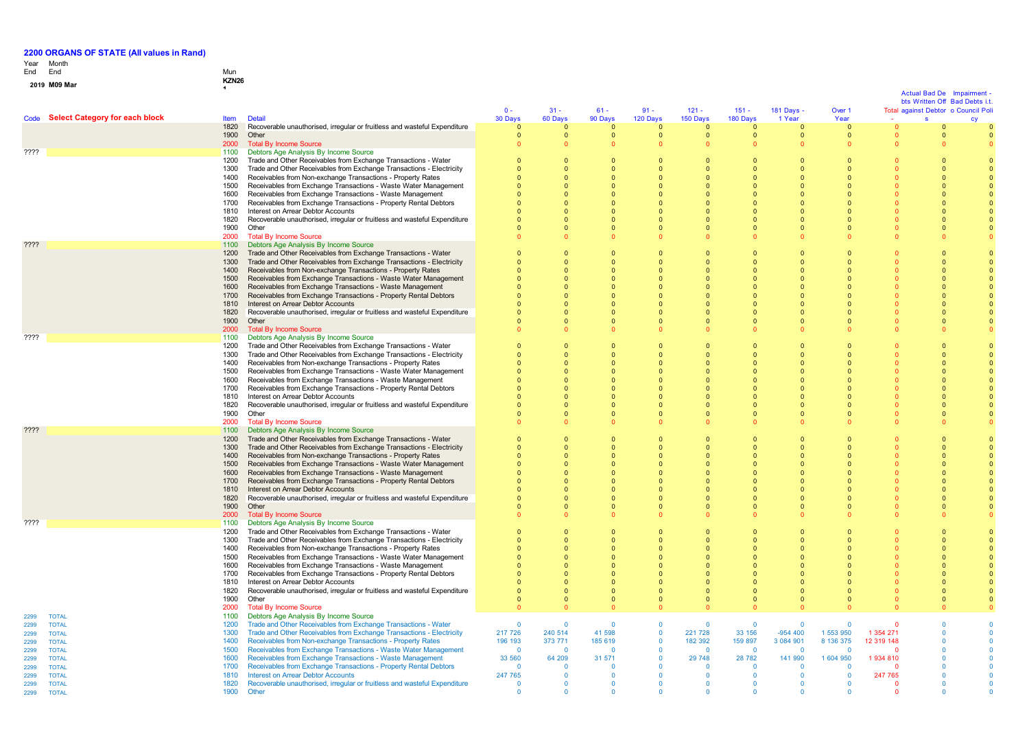**0 1**

# Year End Month End Mun

| 9 M09 Mar |  |  |
|-----------|--|--|

**M09 Mar KZN26 <sup>1</sup>**

|              |                                     |              |                                                                                                                                     |                              |                            |                      |                          |                            |                          |                          |                              |            | Actual Bad De<br>bts Written Off Bad Debts i.t | Impairment |              |
|--------------|-------------------------------------|--------------|-------------------------------------------------------------------------------------------------------------------------------------|------------------------------|----------------------------|----------------------|--------------------------|----------------------------|--------------------------|--------------------------|------------------------------|------------|------------------------------------------------|------------|--------------|
|              |                                     |              |                                                                                                                                     | $0 -$                        | $31 -$                     | $61 -$               | $91 -$                   | $121 -$                    | $151 -$                  | 181 Days -               | Over 1                       |            | Total against Debtor o Council Poli            |            |              |
|              | Code Select Category for each block | Item         | <b>Detail</b>                                                                                                                       | 30 Days                      | 60 Days                    | 90 Days              | 120 Days                 | 150 Days                   | 180 Days                 | 1 Year                   | Year                         |            | $\mathbf{s}$                                   |            |              |
|              |                                     | 1820<br>1900 | Recoverable unauthorised, irregular or fruitless and wasteful Expenditure<br>Other                                                  | $\mathbf{0}$<br>$\mathbf{0}$ | $\Omega$<br>$\overline{0}$ | $\cap$<br>$\Omega$   | $\Omega$<br>$\mathbf{0}$ | $\Omega$<br>$\overline{0}$ | $\mathbf{0}$<br>$\Omega$ | $\mathbf{0}$<br>$\Omega$ | $\mathbf{0}$<br>$\mathbf{0}$ |            |                                                |            |              |
|              |                                     | 2000         | <b>Total By Income Source</b>                                                                                                       |                              |                            |                      | $\Omega$                 | $\Omega$                   | $\Omega$                 |                          | $\Omega$                     |            |                                                |            |              |
| ????         |                                     | 1100         | Debtors Age Analysis By Income Source                                                                                               |                              |                            |                      |                          |                            |                          |                          |                              |            |                                                |            |              |
|              |                                     | 1200         | Trade and Other Receivables from Exchange Transactions - Water                                                                      | $\Omega$                     | $\Omega$                   |                      | $\Omega$                 | $\Omega$                   | $\Omega$                 | $\Omega$                 | $\Omega$                     |            |                                                |            |              |
|              |                                     | 1300         | Trade and Other Receivables from Exchange Transactions - Electricity                                                                | $\Omega$                     | $\Omega$                   |                      | $\Omega$                 | $\Omega$                   | $\Omega$                 | $\Omega$                 | $\Omega$                     |            |                                                |            |              |
|              |                                     | 1400<br>1500 | Receivables from Non-exchange Transactions - Property Rates<br>Receivables from Exchange Transactions - Waste Water Management      | $\Omega$<br>$\Omega$         | $\Omega$<br>$\Omega$       |                      | $\Omega$<br>$\Omega$     | $\Omega$<br>$\Omega$       | $\Omega$<br>$\Omega$     | $\Omega$<br>$\Omega$     | $\Omega$<br>$\Omega$         |            |                                                |            |              |
|              |                                     | 1600         | Receivables from Exchange Transactions - Waste Management                                                                           | $\Omega$                     | $\Omega$                   |                      | $\Omega$                 | $\Omega$                   | $\Omega$                 | $\Omega$                 | $\mathbf{0}$                 |            |                                                |            |              |
|              |                                     | 1700         | Receivables from Exchange Transactions - Property Rental Debtors                                                                    |                              |                            |                      |                          |                            | $\Omega$                 |                          | $\mathbf{0}$                 |            |                                                |            |              |
|              |                                     | 1810         | Interest on Arrear Debtor Accounts                                                                                                  |                              | $\Omega$                   |                      |                          |                            | $\Omega$                 |                          | $\Omega$                     |            |                                                |            |              |
|              |                                     | 1820         | Recoverable unauthorised, irregular or fruitless and wasteful Expenditure                                                           | $\Omega$                     | $\Omega$                   |                      | $\Omega$                 | $\Omega$                   | $\Omega$                 | $\Omega$                 | $\Omega$                     |            |                                                |            |              |
|              |                                     | 1900         | Other                                                                                                                               | $\Omega$                     | $\Omega$                   |                      | $\Omega$                 | $\Omega$                   | $\Omega$                 | $\Omega$                 | $\Omega$                     |            |                                                |            | $\Omega$     |
|              |                                     | 2000<br>1100 | <b>Total By Income Source</b><br>Debtors Age Analysis By Income Source                                                              |                              |                            |                      |                          |                            | $\Omega$                 |                          | $\Omega$                     |            |                                                |            |              |
|              |                                     | 1200         | Trade and Other Receivables from Exchange Transactions - Water                                                                      |                              |                            |                      |                          |                            | $\Omega$                 |                          |                              |            |                                                |            |              |
|              |                                     | 1300         | Trade and Other Receivables from Exchange Transactions - Electricity                                                                |                              |                            |                      |                          | $\Omega$                   | $\Omega$                 |                          | $\Omega$                     |            |                                                |            |              |
|              |                                     | 1400         | Receivables from Non-exchange Transactions - Property Rates                                                                         | $\Omega$                     | $\Omega$                   |                      | $\Omega$                 | $\Omega$                   | $\Omega$                 | $\Omega$                 | $\Omega$                     |            |                                                |            |              |
|              |                                     | 1500         | Receivables from Exchange Transactions - Waste Water Management                                                                     | $\Omega$                     | $\Omega$                   |                      | $\Omega$                 | $\Omega$                   | $\Omega$                 | n                        | $\Omega$                     |            |                                                |            |              |
|              |                                     | 1600<br>1700 | Receivables from Exchange Transactions - Waste Management<br>Receivables from Exchange Transactions - Property Rental Debtors       | $\Omega$                     | $\Omega$<br>$\Omega$       |                      | $\Omega$                 | $\Omega$<br>$\Omega$       | $\Omega$<br>$\Omega$     | $\Omega$<br>$\Omega$     | $\Omega$<br>$\Omega$         |            |                                                |            |              |
|              |                                     | 1810         | Interest on Arrear Debtor Accounts                                                                                                  |                              | $\Omega$                   |                      |                          | $\Omega$                   | $\Omega$                 |                          | $\Omega$                     |            |                                                |            |              |
|              |                                     | 1820         | Recoverable unauthorised, irregular or fruitless and wasteful Expenditure                                                           |                              |                            |                      |                          | $\Omega$                   | $\Omega$                 |                          | $\Omega$                     |            |                                                |            |              |
|              |                                     | 1900         | Other                                                                                                                               | $\Omega$                     | $\overline{0}$             |                      | $\Omega$                 | $\overline{0}$             | $\Omega$                 | $\Omega$                 | $\mathbf{0}$                 |            |                                                |            |              |
|              |                                     | 2000         | <b>Total By Income Source</b>                                                                                                       |                              |                            |                      |                          | $\Omega$                   | $\Omega$                 |                          | $\Omega$                     |            |                                                |            |              |
| ????         |                                     | 1100<br>1200 | Debtors Age Analysis By Income Source<br>Trade and Other Receivables from Exchange Transactions - Water                             | $\Omega$                     | $\overline{0}$             |                      | $\Omega$                 | $\Omega$                   | $\Omega$                 | $\Omega$                 | $\mathbf{0}$                 |            |                                                |            |              |
|              |                                     | 1300         | Trade and Other Receivables from Exchange Transactions - Electricity                                                                | $\Omega$                     | - 0                        |                      | $\Omega$                 | $\mathbf{0}$               | $\Omega$                 | $\mathbf 0$              | $\mathbf{0}$                 |            |                                                |            |              |
|              |                                     | 1400         | Receivables from Non-exchange Transactions - Property Rates                                                                         |                              | $\mathbf 0$                |                      |                          | $\mathbf{0}$               | $\mathbf 0$              |                          |                              |            |                                                |            |              |
|              |                                     | 1500         | Receivables from Exchange Transactions - Waste Water Management                                                                     |                              | $\Omega$                   |                      |                          | $\Omega$                   | $\Omega$                 |                          | $\Omega$                     |            |                                                |            |              |
|              |                                     | 1600         | Receivables from Exchange Transactions - Waste Management                                                                           | $\Omega$                     | $\Omega$                   |                      | $\Omega$                 | $\Omega$                   | $\Omega$                 |                          | $\Omega$                     |            |                                                |            |              |
|              |                                     | 1700<br>1810 | Receivables from Exchange Transactions - Property Rental Debtors                                                                    |                              | $\Omega$<br>$\Omega$       |                      | $\Omega$<br>$\Omega$     | $\Omega$<br>$\Omega$       | $\Omega$                 | $\Omega$                 | $\Omega$<br>$\Omega$         |            |                                                |            |              |
|              |                                     | 1820         | Interest on Arrear Debtor Accounts<br>Recoverable unauthorised, irregular or fruitless and wasteful Expenditure                     | $\Omega$                     | $\Omega$                   |                      | $\Omega$                 | $\Omega$                   | $\Omega$<br>$\Omega$     | $\Omega$                 | $\Omega$                     |            |                                                |            |              |
|              |                                     | 1900         | Other                                                                                                                               | $\Omega$                     | $\Omega$                   |                      | $\Omega$                 | $\Omega$                   | $\Omega$                 | $\Omega$                 | $\Omega$                     |            |                                                |            |              |
|              |                                     | 2000         | <b>Total By Income Source</b>                                                                                                       |                              |                            |                      |                          |                            |                          |                          |                              |            |                                                |            |              |
| ????         |                                     | 1100         | Debtors Age Analysis By Income Source                                                                                               |                              |                            |                      |                          |                            |                          |                          |                              |            |                                                |            |              |
|              |                                     | 1200         | Trade and Other Receivables from Exchange Transactions - Water                                                                      | $\Omega$                     | $\overline{0}$             |                      | $\Omega$                 |                            | $\Omega$                 |                          | $\mathbf{0}$                 |            |                                                |            | $\Omega$     |
|              |                                     | 1300<br>1400 | Trade and Other Receivables from Exchange Transactions - Electricity<br>Receivables from Non-exchange Transactions - Property Rates | $\Omega$<br>$\Omega$         | $\Omega$<br>$\Omega$       |                      | $\Omega$<br>$\Omega$     | $\Omega$<br>$\Omega$       | $\Omega$<br>$\Omega$     | $\Omega$<br>$\Omega$     | $\Omega$<br>$\Omega$         |            |                                                |            | $\Omega$     |
|              |                                     | 1500         | Receivables from Exchange Transactions - Waste Water Management                                                                     | $\Omega$                     | - 0                        |                      | $\Omega$                 | $\mathbf{0}$               | $\Omega$                 | $\Omega$                 | $\mathbf{0}$                 |            |                                                |            | $\Omega$     |
|              |                                     | 1600         | Receivables from Exchange Transactions - Waste Management                                                                           |                              |                            |                      | $\Omega$                 |                            | $\mathbf{0}$             | $\Omega$                 | $\mathbf{0}$                 |            |                                                |            |              |
|              |                                     | 1700         | Receivables from Exchange Transactions - Property Rental Debtors                                                                    |                              |                            |                      |                          |                            | $\Omega$                 |                          | $\Omega$                     |            |                                                |            |              |
|              |                                     | 1810         | Interest on Arrear Debtor Accounts                                                                                                  | $\Omega$                     | $\Omega$                   |                      | $\Omega$                 | $\Omega$                   | $\Omega$                 | $\Omega$                 | $\Omega$                     |            |                                                |            |              |
|              |                                     | 1820<br>1900 | Recoverable unauthorised, irregular or fruitless and wasteful Expenditure<br>Other                                                  | $\Omega$<br>$\Omega$         | $\Omega$<br>$\Omega$       | $\Omega$<br>$\Omega$ | $\Omega$<br>$\Omega$     | $\Omega$<br>$\Omega$       | $\Omega$<br>$\Omega$     | $\Omega$<br>$\Omega$     | $\Omega$<br>$\Omega$         |            |                                                |            |              |
|              |                                     | 2000         | <b>Total By Income Source</b>                                                                                                       |                              |                            |                      |                          | $\Omega$                   | $\Omega$                 |                          | $\Omega$                     |            |                                                |            |              |
| ????         |                                     | 1100         | Debtors Age Analysis By Income Source                                                                                               |                              |                            |                      |                          |                            |                          |                          |                              |            |                                                |            |              |
|              |                                     | 1200         | Trade and Other Receivables from Exchange Transactions - Water                                                                      | $\Omega$                     |                            |                      |                          |                            | $\Omega$                 |                          | $\Omega$                     |            |                                                |            |              |
|              |                                     | 1300         | Trade and Other Receivables from Exchange Transactions - Electricity                                                                | $\Omega$                     | $\Omega$                   |                      |                          | $\Omega$                   | $\Omega$                 |                          | $\Omega$                     |            |                                                |            |              |
|              |                                     | 1400<br>1500 | Receivables from Non-exchange Transactions - Property Rates<br>Receivables from Exchange Transactions - Waste Water Management      | $\Omega$<br>$\Omega$         | $\Omega$<br>$\overline{0}$ |                      | $\Omega$<br>$\Omega$     | $\Omega$<br>$\overline{0}$ | $\Omega$<br>$\Omega$     | $\Omega$                 | $\Omega$<br>$\Omega$         |            |                                                |            | $\Omega$     |
|              |                                     | 1600         | Receivables from Exchange Transactions - Waste Management                                                                           | $\Omega$                     | $\Omega$                   |                      | $\Omega$                 | $\Omega$                   | $\Omega$                 | $\Omega$                 | $\Omega$                     |            |                                                |            |              |
|              |                                     | 1700         | Receivables from Exchange Transactions - Property Rental Debtors                                                                    |                              | $\Omega$                   |                      | $\Omega$                 | $\Omega$                   | $\Omega$                 |                          | $\Omega$                     |            |                                                |            |              |
|              |                                     | 1810         | Interest on Arrear Debtor Accounts                                                                                                  |                              | $\Omega$                   |                      | $\Omega$                 | $\overline{0}$             | $\Omega$                 | $\Omega$                 | $\Omega$                     |            |                                                |            |              |
|              |                                     | 1820         | Recoverable unauthorised, irregular or fruitless and wasteful Expenditure                                                           | $\mathbf{0}$                 | $\overline{0}$             |                      | $\Omega$                 | $\overline{0}$             | $\mathbf{0}$             | $\mathbf 0$              | $\mathbf{0}$                 |            |                                                |            |              |
|              |                                     | 1900<br>2000 | Other<br><b>Total By Income Source</b>                                                                                              | $\Omega$                     | $\overline{0}$             |                      | $\Omega$                 | $\overline{0}$             | $\Omega$                 | $\Omega$                 | $\mathbf{0}$                 |            |                                                |            |              |
| 2299         | <b>TOTAL</b>                        | 1100         | Debtors Age Analysis By Income Source                                                                                               |                              |                            |                      |                          |                            |                          |                          |                              |            |                                                |            |              |
| 2299         | <b>TOTAL</b>                        | 1200         | Trade and Other Receivables from Exchange Transactions - Water                                                                      | $\Omega$                     | $\Omega$                   | $\Omega$             | $\Omega$                 | $\Omega$                   | $\overline{0}$           | $\Omega$                 | $\Omega$                     | $\Omega$   |                                                |            |              |
| 2299         | <b>TOTAL</b>                        | 1300         | Trade and Other Receivables from Exchange Transactions - Electricity                                                                | 217 726                      | 240 514                    | 41 598               | $\Omega$                 | 221 728                    | 33 156                   | $-954400$                | 1 553 950                    | 1 354 271  |                                                |            | $\Omega$     |
| 2299         | <b>TOTAL</b>                        | 1400         | Receivables from Non-exchange Transactions - Property Rates                                                                         | 196 193                      | 373 771                    | 185 619              | $\Omega$                 | 182 392                    | 159 897                  | 3 084 901                | 8 136 375                    | 12 319 148 |                                                |            | $\Omega$     |
| 2299<br>2299 | <b>TOTAL</b><br><b>TOTAL</b>        | 1500<br>1600 | Receivables from Exchange Transactions - Waste Water Management<br>Receivables from Exchange Transactions - Waste Management        | $\Omega$<br>33 560           | $\Omega$<br>64 209         | $\Omega$<br>31 571   | $\Omega$<br>$\Omega$     | $\Omega$<br>29 748         | $\Omega$<br>28 782       | $\Omega$<br>141 990      | $\Omega$<br>1 604 950        | 1934 810   |                                                |            |              |
| 2299         | <b>TOTAL</b>                        | 1700         | Receivables from Exchange Transactions - Property Rental Debtors                                                                    | $\Omega$                     | $\Omega$                   | $\Omega$             | $\Omega$                 | $\Omega$                   | $\Omega$                 | $\Omega$                 | $\Omega$                     | - 0        |                                                |            | $\Omega$     |
| 2299         | <b>TOTAL</b>                        | 1810         | <b>Interest on Arrear Debtor Accounts</b>                                                                                           | 247 765                      | $\overline{\mathbf{0}}$    | $\Omega$             | $\mathbf 0$              | $\mathbf 0$                | $\overline{0}$           | $\overline{\mathbf{0}}$  | $\mathbf{0}$                 | 247 765    |                                                |            | $\Omega$     |
| 2299         | <b>TOTAL</b>                        | 1820         | Recoverable unauthorised, irregular or fruitless and wasteful Expenditure                                                           | $\Omega$                     | $\Omega$                   | $\Omega$             | $\Omega$                 | $\overline{0}$             | $\mathbf 0$              | $\Omega$                 | $\mathbf{0}$                 | $\Omega$   |                                                |            | $\mathbf{0}$ |
| 2299         | <b>TOTAL</b>                        | 1900         | Other                                                                                                                               | $\mathbf{0}$                 | $\Omega$                   | $\Omega$             | $\Omega$                 | $\overline{0}$             | $\mathbf{0}$             | $\mathbf{0}$             | $\mathbf{0}$                 | $\Omega$   |                                                |            | $\Omega$     |
|              |                                     |              |                                                                                                                                     |                              |                            |                      |                          |                            |                          |                          |                              |            |                                                |            |              |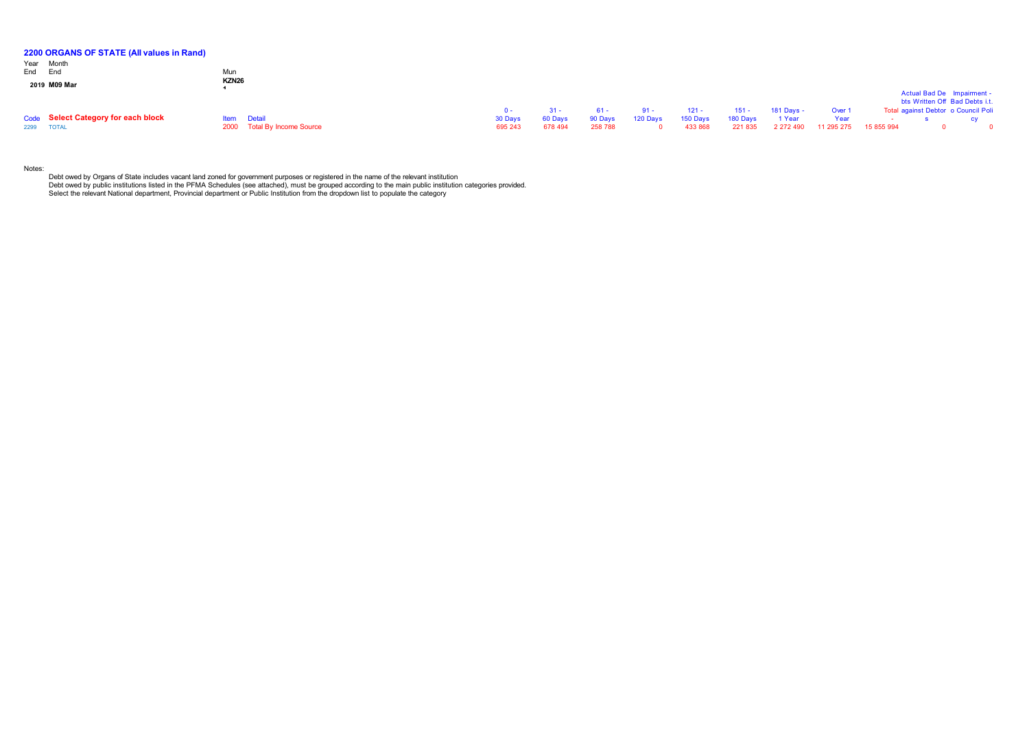| 2200 ORGANS OF STATE (All values in Rand)<br>Year Month<br>End End | Mun<br><b>KZN26</b> |                             |                    |                    |                    |          |                     |                     |                     |                    |            |                                                                       |           |
|--------------------------------------------------------------------|---------------------|-----------------------------|--------------------|--------------------|--------------------|----------|---------------------|---------------------|---------------------|--------------------|------------|-----------------------------------------------------------------------|-----------|
| 2019 M09 Mar                                                       |                     |                             |                    |                    |                    |          |                     |                     |                     |                    |            | Actual Bad De Impairment -                                            |           |
|                                                                    |                     |                             | <u>n - </u>        |                    | 61 -               | $91 -$   | $121 -$             | $151 -$             | 181 Days -          | Over 1             |            | bts Written Off Bad Debts i.t.<br>Total against Debtor o Council Poli |           |
| Code Select Category for each block<br>2299 TOTAL                  | <b>Item</b> Detail  | 2000 Total By Income Source | 30 Days<br>695 243 | 60 Days<br>678 494 | 90 Days<br>258 788 | 120 Days | 150 Days<br>433 868 | 180 Days<br>221 835 | 1 Year<br>2 272 490 | Year<br>11 295 275 | 15 855 994 |                                                                       | <b>CV</b> |

Notes:

Debt owed by Organs of State includes vacant land zoned for government purposes or registered in the name of the relevant institution<br>Debt owed by public institutions listed in the PFMA Schedules (see attached), must be gr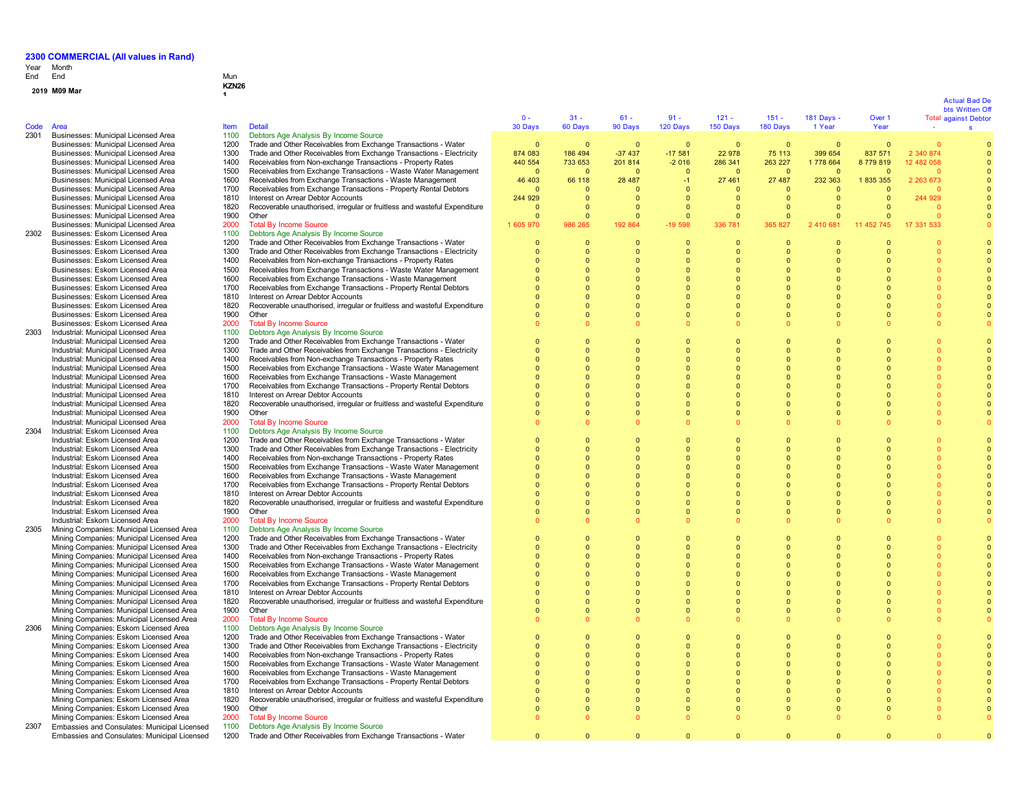**M09 Mar KZN26 <sup>1</sup>**

## Year End Month End Mun

**0 1**

| Code | Area                                                                                   | <b>Item</b>  | <b>Detail</b>                                                                                                                       | $\Omega$ -<br>30 Days | $31 -$<br>60 Days        | $61 -$<br>90 Days    | $91 -$<br>120 Days   | $121 -$<br>150 Days        | $151 -$<br>180 Days  | 181 Days $\cdot$<br>1 Year | Over 1<br>Year | <b>Total against Debtor</b> | bts Written Of |
|------|----------------------------------------------------------------------------------------|--------------|-------------------------------------------------------------------------------------------------------------------------------------|-----------------------|--------------------------|----------------------|----------------------|----------------------------|----------------------|----------------------------|----------------|-----------------------------|----------------|
| 2301 | Businesses: Municipal Licensed Area                                                    | 1100         | Debtors Age Analysis By Income Source                                                                                               |                       |                          |                      |                      |                            |                      |                            |                |                             |                |
|      | Businesses: Municipal Licensed Area                                                    | 1200         | Trade and Other Receivables from Exchange Transactions - Water                                                                      | $\Omega$              | $\Omega$                 | $\Omega$             | $\Omega$             | $\Omega$                   | $\Omega$             | $\Omega$                   | $\Omega$       | $\Omega$                    |                |
|      | Businesses: Municipal Licensed Area                                                    | 1300         | Trade and Other Receivables from Exchange Transactions - Electricity                                                                | 874 083               | 186 494                  | $-37437$             | $-17581$             | 22 978                     | 75 113               | 399 654                    | 837 571        | 2 340 874                   |                |
|      | Businesses: Municipal Licensed Area                                                    | 1400         | Receivables from Non-exchange Transactions - Property Rates                                                                         | 440 554               | 733 653                  | 201 814              | $-2016$              | 286 341                    | 263 227              | 1778 664                   | 8779819        | 12 482 058                  |                |
|      | Businesses: Municipal Licensed Area                                                    | 1500         | Receivables from Exchange Transactions - Waste Water Management                                                                     | $\Omega$              | $\Omega$                 | $\Omega$             | $\Omega$             | $\overline{0}$             | $\Omega$             | $\Omega$                   | $\Omega$       | $\Omega$                    |                |
|      | Businesses: Municipal Licensed Area                                                    | 1600         | Receivables from Exchange Transactions - Waste Management                                                                           | 46 403                | 66 118                   | 28 487               | $-1$                 | 27 461                     | 27 487               | 232 363                    | 1835355        | 2 263 673                   |                |
|      | Businesses: Municipal Licensed Area                                                    | 1700         | Receivables from Exchange Transactions - Property Rental Debtors                                                                    | $\Omega$              | $\mathbf{0}$             | $\Omega$             | $\Omega$             | $\Omega$                   | $\Omega$             | $\Omega$                   | $\Omega$       |                             |                |
|      | Businesses: Municipal Licensed Area                                                    | 1810         | Interest on Arrear Debtor Accounts                                                                                                  | 244 929               | $\mathbf{0}$             | $\Omega$             | 0                    | $\overline{0}$             | $\mathbf{0}$         | $\Omega$                   | $\Omega$       | 244 929                     |                |
|      | Businesses: Municipal Licensed Area                                                    | 1820         | Recoverable unauthorised, irregular or fruitless and wasteful Expenditure                                                           | $\Omega$              | $\Omega$                 | $\Omega$             | $\Omega$             | $\Omega$                   | $\Omega$             | $\Omega$                   | $\Omega$       |                             |                |
|      | Businesses: Municipal Licensed Area                                                    | 1900         | Other                                                                                                                               | $\Omega$              | $\Omega$                 | $\Omega$             | $\overline{0}$       | $\overline{0}$             | $\Omega$             | $\Omega$                   | $\Omega$       | $\Omega$                    |                |
|      | Businesses: Municipal Licensed Area<br>Businesses: Eskom Licensed Area                 | 2000         | <b>Total By Income Source</b>                                                                                                       | 1 605 970             | 986 265                  | 192 864              | 19 598               | 336 781                    | 365 827              | 2 410 681                  | 11 452 745     | 17 331 533                  |                |
| 2302 | Businesses: Eskom Licensed Area                                                        | 1100<br>1200 | Debtors Age Analysis By Income Source<br>Trade and Other Receivables from Exchange Transactions - Water                             | 0                     | $\mathbf{0}$             | $\mathbf{0}$         | $\mathbf 0$          | $\overline{0}$             | $\mathbf{0}$         |                            |                |                             |                |
|      | Businesses: Eskom Licensed Area                                                        | 1300         | Trade and Other Receivables from Exchange Transactions - Electricity                                                                | $\Omega$              | $\Omega$                 | $\Omega$             |                      | $\Omega$                   | $\Omega$             |                            |                |                             |                |
|      | Businesses: Eskom Licensed Area                                                        | 1400         | Receivables from Non-exchange Transactions - Property Rates                                                                         | $\Omega$              | $\Omega$                 | $\Omega$             | $\Omega$             | $\Omega$                   | $\Omega$             | $\Omega$                   |                |                             |                |
|      | Businesses: Eskom Licensed Area                                                        | 1500         | Receivables from Exchange Transactions - Waste Water Management                                                                     | $\Omega$              | $\Omega$                 | $\Omega$             | $\Omega$             | $\Omega$                   | $\Omega$             | $\Omega$                   |                |                             |                |
|      | Businesses: Eskom Licensed Area                                                        | 1600         | Receivables from Exchange Transactions - Waste Management                                                                           | $\Omega$              | $\Omega$                 | $\Omega$             | $\Omega$             | $\Omega$                   | $\Omega$             | $\Omega$                   |                |                             |                |
|      | Businesses: Eskom Licensed Area                                                        | 1700         | Receivables from Exchange Transactions - Property Rental Debtors                                                                    | $\Omega$              | $\Omega$                 | $\Omega$             |                      |                            | $\Omega$             | $\Omega$                   |                |                             |                |
|      | Businesses: Eskom Licensed Area                                                        | 1810         | Interest on Arrear Debtor Accounts                                                                                                  |                       | $\Omega$                 |                      |                      |                            | $\Omega$             | $\Omega$                   |                |                             |                |
|      | Businesses: Eskom Licensed Area                                                        | 1820         | Recoverable unauthorised, irregular or fruitless and wasteful Expenditure                                                           | $\Omega$              | $\Omega$                 | $\Omega$             | $\Omega$             | $\overline{0}$             | $\Omega$             | $\Omega$                   |                | $\Omega$                    |                |
|      | Businesses: Eskom Licensed Area                                                        | 1900         | Other                                                                                                                               | $\Omega$              | $\Omega$                 | $\Omega$             | $\Omega$             | $\Omega$                   | $\Omega$             | $\Omega$                   |                | $\Omega$                    |                |
|      | Businesses: Eskom Licensed Area                                                        | 2000         | <b>Total By Income Source</b>                                                                                                       | $\Omega$              | $\Omega$                 |                      |                      |                            | $\Omega$             |                            |                |                             |                |
| 2303 | Industrial: Municipal Licensed Area                                                    | 1100         | Debtors Age Analysis By Income Source                                                                                               |                       |                          |                      |                      |                            |                      |                            |                |                             |                |
|      | Industrial: Municipal Licensed Area                                                    | 1200<br>1300 | Trade and Other Receivables from Exchange Transactions - Water                                                                      | $\Omega$<br>$\Omega$  | $\Omega$<br>$\Omega$     | $\Omega$<br>$\Omega$ | $\Omega$<br>$\Omega$ | $\overline{0}$<br>$\Omega$ | $\Omega$<br>$\Omega$ | $\Omega$                   |                |                             |                |
|      | Industrial: Municipal Licensed Area<br>Industrial: Municipal Licensed Area             | 1400         | Trade and Other Receivables from Exchange Transactions - Electricity<br>Receivables from Non-exchange Transactions - Property Rates | $\Omega$              | $\Omega$                 | $\Omega$             | $\Omega$             | $\Omega$                   | $\Omega$             | $\Omega$                   |                | $\Omega$<br>$\Omega$        |                |
|      | Industrial: Municipal Licensed Area                                                    | 1500         | Receivables from Exchange Transactions - Waste Water Management                                                                     | $\Omega$              | $\Omega$                 | $\Omega$             | $\Omega$             | $\Omega$                   | $\Omega$             | n                          |                |                             |                |
|      | Industrial: Municipal Licensed Area                                                    | 1600         | Receivables from Exchange Transactions - Waste Management                                                                           | $\Omega$              | $\Omega$                 | $\Omega$             |                      | $\Omega$                   | $\Omega$             | $\Omega$                   |                |                             |                |
|      | Industrial: Municipal Licensed Area                                                    | 1700         | Receivables from Exchange Transactions - Property Rental Debtors                                                                    |                       | $\mathbf{0}$             | $\Omega$             |                      |                            | $\Omega$             | $\Omega$                   |                |                             |                |
|      | Industrial: Municipal Licensed Area                                                    | 1810         | Interest on Arrear Debtor Accounts                                                                                                  | $\Omega$              | $\Omega$                 | $\Omega$             |                      | $\Omega$                   | $\Omega$             | $\Omega$                   |                |                             |                |
|      | Industrial: Municipal Licensed Area                                                    | 1820         | Recoverable unauthorised, irregular or fruitless and wasteful Expenditure                                                           | $\Omega$              | $\mathbf{0}$             | $\Omega$             | $\Omega$             | $\overline{0}$             | $\Omega$             | $\Omega$                   |                |                             |                |
|      | Industrial: Municipal Licensed Area                                                    | 1900         | Other                                                                                                                               | $\Omega$              | $\Omega$                 | $\bullet$            | $\Omega$             | $\Omega$                   | $\Omega$             | $\Omega$                   | $\Omega$       | $\Omega$                    |                |
|      | Industrial: Municipal Licensed Area                                                    | 2000         | <b>Total By Income Source</b>                                                                                                       |                       | $\Omega$                 |                      |                      |                            |                      |                            |                |                             |                |
| 2304 | Industrial: Eskom Licensed Area                                                        | 1100         | Debtors Age Analysis By Income Source                                                                                               |                       |                          |                      |                      |                            |                      |                            |                |                             |                |
|      | Industrial: Eskom Licensed Area                                                        | 1200         | Trade and Other Receivables from Exchange Transactions - Water                                                                      | $\Omega$              | $\Omega$                 | $\Omega$             | $\Omega$             | $\Omega$                   | $\Omega$             | $\Omega$                   |                |                             |                |
|      | Industrial: Eskom Licensed Area                                                        | 1300         | Trade and Other Receivables from Exchange Transactions - Electricity                                                                | $\Omega$              | $\Omega$                 | $\Omega$             | $\Omega$             | $\Omega$                   | $\Omega$             | n                          |                |                             |                |
|      | Industrial: Eskom Licensed Area                                                        | 1400         | Receivables from Non-exchange Transactions - Property Rates                                                                         | $\Omega$              | $\Omega$                 | $\Omega$             |                      | $\Omega$                   | $\Omega$             | $\Omega$                   |                |                             |                |
|      | Industrial: Eskom Licensed Area<br>Industrial: Eskom Licensed Area                     | 1500<br>1600 | Receivables from Exchange Transactions - Waste Water Management<br>Receivables from Exchange Transactions - Waste Management        | $\Omega$<br>$\Omega$  | $\Omega$<br>$\Omega$     | $\Omega$             |                      | $\Omega$                   | $\Omega$<br>$\Omega$ | $\Omega$                   |                |                             |                |
|      | Industrial: Eskom Licensed Area                                                        | 1700         | Receivables from Exchange Transactions - Property Rental Debtors                                                                    | $\Omega$              | $\Omega$                 | $\Omega$             | $\Omega$             | $\Omega$                   | $\Omega$             | $\Omega$                   |                |                             |                |
|      | Industrial: Eskom Licensed Area                                                        | 1810         | Interest on Arrear Debtor Accounts                                                                                                  | $\Omega$              | $\bullet$                | $\Omega$             | $\Omega$             | $\Omega$                   | $\Omega$             | $\Omega$                   |                |                             |                |
|      | Industrial: Eskom Licensed Area                                                        | 1820         | Recoverable unauthorised, irregular or fruitless and wasteful Expenditure                                                           | $\Omega$              | $\mathbf{0}$             | $\Omega$             | $\Omega$             | $\Omega$                   | $\Omega$             | $\Omega$                   |                |                             |                |
|      | Industrial: Eskom Licensed Area                                                        | 1900         | Other                                                                                                                               |                       | $\mathbf{0}$             | $\mathbf 0$          |                      | $\overline{0}$             | $\mathbf{0}$         | n                          |                |                             |                |
|      | Industrial: Eskom Licensed Area                                                        | 2000         | <b>Total By Income Source</b>                                                                                                       | $\Omega$              | $\Omega$                 |                      |                      |                            |                      |                            |                |                             |                |
| 2305 | Mining Companies: Municipal Licensed Area                                              | 1100         | Debtors Age Analysis By Income Source                                                                                               |                       |                          |                      |                      |                            |                      |                            |                |                             |                |
|      | Mining Companies: Municipal Licensed Area                                              | 1200         | Trade and Other Receivables from Exchange Transactions - Water                                                                      | $\Omega$              | $\Omega$                 | $\Omega$             | $\Omega$             | $\Omega$                   | $\Omega$             | n                          |                |                             |                |
|      | Mining Companies: Municipal Licensed Area                                              | 1300         | Trade and Other Receivables from Exchange Transactions - Electricity                                                                | $\Omega$              | $\mathbf{0}$             | $\Omega$             | $\Omega$             | $\overline{0}$             | $\Omega$             | $\Omega$                   |                |                             |                |
|      | Mining Companies: Municipal Licensed Area                                              | 1400         | Receivables from Non-exchange Transactions - Property Rates                                                                         | $\Omega$              | $\Omega$                 | $\Omega$             |                      | $\Omega$                   | $\Omega$             | n                          |                |                             |                |
|      | Mining Companies: Municipal Licensed Area                                              | 1500         | Receivables from Exchange Transactions - Waste Water Management                                                                     | $\Omega$              | $\Omega$                 | $\Omega$             | $\Omega$             | $\Omega$                   | $\Omega$             | $\Omega$                   |                | $\Omega$                    |                |
|      | Mining Companies: Municipal Licensed Area                                              | 1600         | Receivables from Exchange Transactions - Waste Management                                                                           | $\Omega$              | $\Omega$                 | $\Omega$             | $\Omega$             | $\Omega$                   | $\Omega$             | $\Omega$                   |                | $\Omega$                    |                |
|      | Mining Companies: Municipal Licensed Area                                              | 1700         | Receivables from Exchange Transactions - Property Rental Debtors                                                                    | $\Omega$              | $\Omega$                 | $\Omega$             |                      | $\Omega$                   | $\Omega$             | $\Omega$                   |                |                             |                |
|      | Mining Companies: Municipal Licensed Area<br>Mining Companies: Municipal Licensed Area | 1810<br>1820 | Interest on Arrear Debtor Accounts<br>Recoverable unauthorised, irregular or fruitless and wasteful Expenditure                     | $\Omega$              | $\mathbf{0}$<br>$\Omega$ | $\Omega$             |                      |                            | $\Omega$<br>$\Omega$ | $\Omega$<br>$\Omega$       |                |                             |                |
|      | Mining Companies: Municipal Licensed Area                                              | 1900         | Other                                                                                                                               | $\Omega$              | $\Omega$                 | $\bullet$            | $\Omega$             | $\Omega$                   | $\Omega$             | $\Omega$                   |                | $\Omega$                    |                |
|      | Mining Companies: Municipal Licensed Area                                              | 2000         | <b>Total By Income Source</b>                                                                                                       | $\Omega$              | $\Omega$                 |                      |                      |                            |                      |                            |                |                             |                |
| 2306 | Mining Companies: Eskom Licensed Area                                                  | 1100         | Debtors Age Analysis By Income Source                                                                                               |                       |                          |                      |                      |                            |                      |                            |                |                             |                |
|      | Mining Companies: Eskom Licensed Area                                                  | 1200         | Trade and Other Receivables from Exchange Transactions - Water                                                                      | $\overline{0}$        | $\mathbf{0}$             | $\Omega$             | $\Omega$             | $\overline{0}$             | $\mathbf{0}$         |                            |                |                             |                |
|      | Mining Companies: Eskom Licensed Area                                                  | 1300         | Trade and Other Receivables from Exchange Transactions - Electricity                                                                |                       | $\Omega$                 | $\Omega$             |                      | $\Omega$                   | $\Omega$             | $\Omega$                   |                |                             |                |
|      | Mining Companies: Eskom Licensed Area                                                  | 1400         | Receivables from Non-exchange Transactions - Property Rates                                                                         | $\Omega$              | $\Omega$                 | $\Omega$             | $\Omega$             | $\Omega$                   | $\Omega$             | $\Omega$                   |                | $\Omega$                    |                |
|      | Mining Companies: Eskom Licensed Area                                                  | 1500         | Receivables from Exchange Transactions - Waste Water Management                                                                     | $\Omega$              | $\Omega$                 | $\Omega$             | $\Omega$             | $\Omega$                   | $\Omega$             | $\Omega$                   |                | n                           |                |
|      | Mining Companies: Eskom Licensed Area                                                  | 1600         | Receivables from Exchange Transactions - Waste Management                                                                           | $\Omega$              | $\Omega$                 | $\Omega$             | $\Omega$             | $\Omega$                   | $\Omega$             | $\Omega$                   |                |                             |                |
|      | Mining Companies: Eskom Licensed Area                                                  | 1700         | Receivables from Exchange Transactions - Property Rental Debtors                                                                    |                       | $\Omega$                 | $\Omega$             |                      | $\Omega$                   | $\Omega$             |                            |                |                             |                |
|      | Mining Companies: Eskom Licensed Area                                                  | 1810         | Interest on Arrear Debtor Accounts                                                                                                  |                       | $\Omega$                 |                      |                      |                            | $\Omega$             |                            |                |                             |                |
|      | Mining Companies: Eskom Licensed Area                                                  | 1820<br>1900 | Recoverable unauthorised, irregular or fruitless and wasteful Expenditure<br>Other                                                  | $\Omega$              | $\mathbf{0}$<br>$\Omega$ | $\Omega$             | $\Omega$<br>$\Omega$ | $\Omega$<br>$\Omega$       | $\Omega$<br>$\Omega$ | $\Omega$                   |                |                             |                |
|      | Mining Companies: Eskom Licensed Area<br>Mining Companies: Eskom Licensed Area         | 2000         | <b>Total By Income Source</b>                                                                                                       | $\Omega$              | $\mathbf{0}$             | $\Omega$             |                      |                            | $\Omega$             |                            |                |                             |                |
| 2307 | Embassies and Consulates: Municipal Licensed                                           | 1100         | Debtors Age Analysis By Income Source                                                                                               |                       |                          |                      |                      |                            |                      |                            |                |                             |                |
|      | Embassies and Consulates: Municipal Licensed                                           | 1200         | Trade and Other Receivables from Exchange Transactions - Water                                                                      | $\Omega$              | $\Omega$                 | $\Omega$             | $\Omega$             | $\Omega$                   | $\Omega$             | $\Omega$                   |                |                             |                |
|      |                                                                                        |              |                                                                                                                                     |                       |                          |                      |                      |                            |                      |                            |                |                             |                |

### Actual Bad De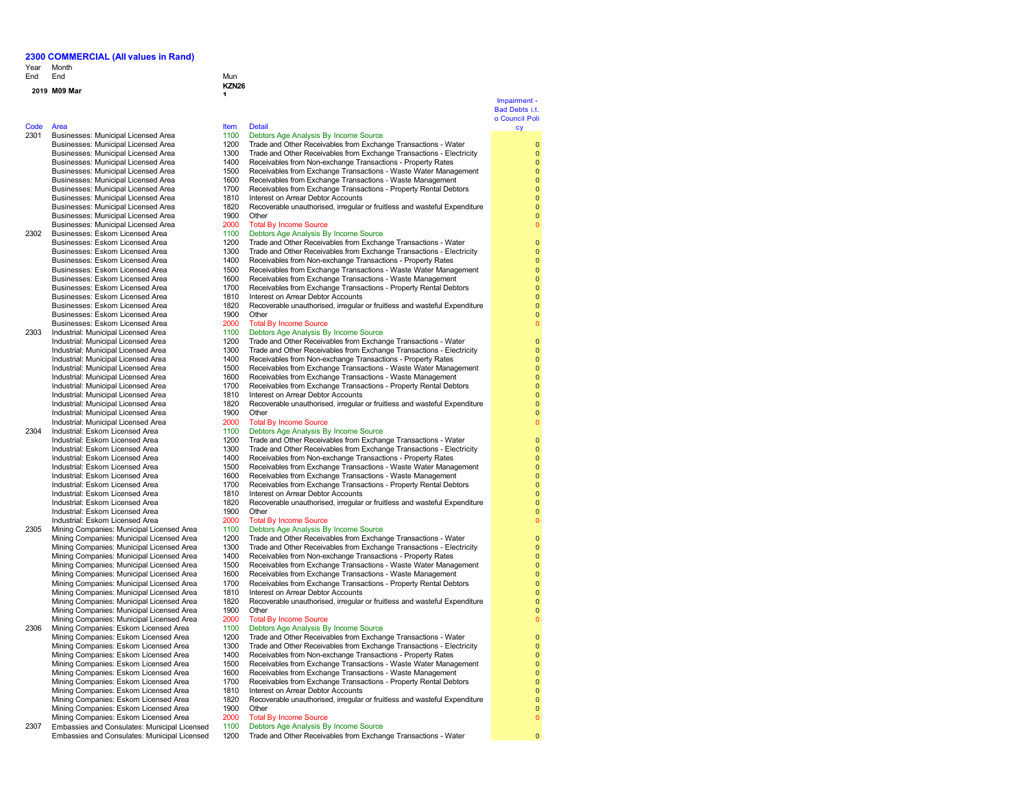**1**

### Year Month End End End Mun

### **<sup>2019</sup> M09 Mar KZN26**

Code Area<br>
2301 Businesses: Municipal Licensed Area (1100 Debto Businesses: Municipal Licensed Area 1810<br>1820 Businesses: Municipal Licensed Area Businesses: Municipal Licensed Area Businesses: Municipal Licensed Area 2000 Total By Income Source

Businesses: Eskom Licensed Area 2000<br>1100 Industrial: Municipal Licensed Area

Industrial: Municipal Licensed Area 1810<br>Industrial: Municipal Licensed Area 1820 Industrial: Municipal Licensed Area 2000<br>Industrial: Eskom Licensed Area 2000

Industrial: Eskom Licensed Area 1900 Other<br>1900 Total By Income Source 1900 Chain By Income Source

- Industrial: Eskom Licensed Area 2000 Total By Income Source<br>Mining Companies: Municipal Licensed Area 2010 Debtors Age Analysis By Income Source 2305 Mining Companies: Municipal Licensed Area 1100<br>Mining Companies: Municipal Licensed Area 1200 Mining Companies: Municipal Licensed Area 1400 Receivables from Non-exchange Transactions - Property Rates<br>Mining Companies: Municipal Licensed Area 1500 Receivables from Exchange Transactions - Waste Water Mana Mining Companies: Municipal Licensed Area 1500 Receivables from Exchange Transactions - Waste Water Management<br>Mining Companies: Municipal Licensed Area 1600 Receivables from Exchange Transactions - Waste Management Mining Companies: Municipal Licensed Area 1600 Receivables from Exchange Transactions - Waste Management<br>Mining Companies: Municipal Licensed Area 1700 Receivables from Exchange Transactions - Property Rental Debt Mining Companies: Municipal Licensed Area<br>Mining Companies: Municipal Licensed Area Mining Companies: Municipal Licensed Area 1900 Other<br>Mining Companies: Municipal Licensed Area 2000 Total By Income Source
- Mining Companies: Municipal Licensed Area 2000 Total By Income Source<br>Mining Companies: Eskom Licensed Area 1100 Debtors Age Analysis By Income Source 2306 Mining Companies: Eskom Licensed Area 1100<br>Mining Companies: Eskom Licensed Area 1200 Mining Companies: Eskom Licensed Area 1200 Trade and Other Receivables from Exchange Transactions - Water<br>Mining Companies: Eskom Licensed Area 1300 Trade and Other Receivables from Exchange Transactions - Electri Mining Companies: Eskom Licensed Area 1300 Trade and Other Receivables from Exchange Transactions - Electricity<br>Mining Companies: Eskom Licensed Area 1400 Receivables from Non-exchange Transactions - Property Rates Mining Companies: Eskom Licensed Area 1400 Receivables from Non-exchange Transactions - Property Rates<br>Mining Companies: Eskom Licensed Area 1500 Receivables from Exchange Transactions - Waste Water Manac Mining Companies: Eskom Licensed Area 1500 Receivables from Exchange Transactions - Waste Water Management<br>Mining Companies: Eskom Licensed Area 1600 Receivables from Exchange Transactions - Waste Management Mining Companies: Eskom Licensed Area 1600 Receivables from Exchange Transactions - Waste Management<br>1700 Receivables France Area 1700 Receivables from Exchange Transactions - Property Rental Debt Mining Companies: Eskom Licensed Area 1810 Interest on Arrear Debtor Accounts<br>Mining Companies: Eskom Licensed Area 1820 Recoverable unauthorised, irregular
- Mining Companies: Eskom Licensed Area 1900 Other<br>Mining Companies: Eskom Licensed Area 2000 Total By Income Source Mining Companies: Eskom Licensed Area 2000<br>Embassies and Consulates: Municipal Licensed 1100 2307 Embassies and Consulates: Municipal Licensed Embassies and Consulates: Municipal Licensed

231 Businesses: Municipal Licensed Area 1100 Debtors Age Analysis By Income Source<br>23 Municipal Licensed Area 1200 Trade and Other Receivables from Exchan Businesses: Municipal Licensed Area 1200 Trade and Other Receivables from Exchange Transactions - Water<br>Businesses: Municipal Licensed Area 1300 Trade and Other Receivables from Exchange Transactions - Flectri Businesses: Municipal Licensed Area 1300 Trade and Other Receivables from Exchange Transactions - Electricity<br>1400 Receivables from Non-exchange Transactions - Property Rates Businesses: Municipal Licensed Area 1400 Receivables from Non-exchange Transactions - Property Rates<br>Businesses: Municipal Licensed Area 1500 Receivables from Exchange Transactions - Waste Water Manac Businesses: Municipal Licensed Area 1500 Receivables from Exchange Transactions - Waste Water Management<br>Businesses: Municipal Licensed Area 1600 Receivables from Exchange Transactions - Waste Management Businesses: Municipal Licensed Area 1600 Receivables from Exchange Transactions - Waste Management<br>1700 Receivables from Exchange Transactions - Property Rental Debt 1700 Receivables from Exchange Transactions - Property Rental Debtors<br>1810 Interest on Arrear Debtor Accounts 1820 Recoverable unauthorised, irregular or fruitless and wasteful Expenditure<br>1900 Other 2302 Businesses: Eskom Licensed Area 1100 Debtors Age Analysis By Income Source<br>Rusinesses: Eskom Licensed Area 1200 Trade and Other Receivables from Exchan Businesses: Eskom Licensed Area 1200 Trade and Other Receivables from Exchange Transactions - Water<br>Businesses: Eskom Licensed Area 1300 Trade and Other Receivables from Exchange Transactions - Flectric Businesses: Eskom Licensed Area 1300 Trade and Other Receivables from Exchange Transactions - Electricity<br>Businesses: Eskom Licensed Area 1400 Receivables from Non-exchange Transactions - Property Rates Receivables from Non-exchange Transactions - Property Rates Businesses: Eskom Licensed Area 1500 Receivables from Exchange Transactions - Waste Water Management Businesses: Eskom Licensed Area 1600 Receivables from Exchange Transactions - Waste Management<br>Businesses: Eskom Licensed Area 1700 Receivables from Exchange Transactions - Property Rental Debt Businesses: Eskom Licensed Area 1700 Receivables from Exchange Transactions - Property Rental Debtors<br>Businesses: Eskom Licensed Area 1810 Interest on Arrear Debtor Accounts Businesses: Eskom Licensed Area 1810 Interest on Arrear Debtor Accounts<br>
Businesses: Eskom Licensed Area 1820 Recoverable unauthorised. irregular 1820 Recoverable unauthorised, irregular or fruitless and wasteful Expenditure<br>1900 Other Businesses: Eskom Licensed Area 1900 Other<br>
Businesses: Eskom Licensed Area 1900 Other 2000 Total By Income Source 2303 Industrial: Municipal Licensed Area 1100 Debtors Age Analysis By Income Source<br>1200 Trade and Other Receivables from Exchan<br>1200 Trade and Other Receivables from Exchan Industrial: Municipal Licensed Area 1200 Trade and Other Receivables from Exchange Transactions - Water<br>1200 Trade and Other Receivables from Exchange Transactions - Electric Industrial: Municipal Licensed Area 1300 Trade and Other Receivables from Exchange Transactions - Electricity<br>1400 Receivables from Non-exchange Transactions - Property Rates Industrial: Municipal Licensed Area 1400 Receivables from Non-exchange Transactions - Property Rates Industrial: Municipal Licensed Area 1500 Receivables from Exchange Transactions - Waste Water Management<br>1500 Receivables from Exchange Transactions - Waste Management - Waste Management Industrial: Municipal Licensed Area 1600 Receivables from Exchange Transactions - Waste Management<br>1600 Receivables from Exchange Transactions - Property Rental Debt 1700 Receivables from Exchange Transactions - Property Rental Debtors<br>1810 Interest on Arrear Debtor Accounts Recoverable unauthorised, irregular or fruitless and wasteful Expenditure Industrial: Municipal Licensed Area 1900 Other<br>1900 Total By Income Source 1900 Cotal By Income Source 2304 Industrial: Eskom Licensed Area 1100 Debtors Age Analysis By Income Source<br>1200 Trade and Other Receivables from Exchance 1200 Debtors Age Analysis By Income Source Industrial: Eskom Licensed Area 1200 Trade and Other Receivables from Exchange Transactions - Water<br>1200 Trade and Other Receivables from Eychange Transactions - Flectri Trade and Other Receivables from Exchange Transactions - Electricity Industrial: Eskom Licensed Area 1400 Receivables from Non-exchange Transactions - Property Rates<br>1500 Receivables from Exchange Transactions - Waster Manad Industrial: Eskom Licensed Area Industrial: Eskom Licensed Area 1500 Receivables from Exchange Transactions - Waste Water Management<br>1600 Receivables from Exchange Transactions - Waste Management Industrial: Eskom Licensed Area 1600 Receivables from Exchange Transactions - Waste Management<br>1600 Receivables from Exchange Transactions - Pronerty Rental Debt Industrial: Eskom Licensed Area 1700 Receivables from Exchange Transactions - Property Rental Debtors<br>1810 Interest on Arrear Debtor Accounts Industrial: Eskom Licensed Area 1810 Interest on Arrear Debtor Accounts<br>
Industrial: Eskom Licensed Area 1820 Recoverable unauthorised. irregular 1820 Recoverable unauthorised, irregular or fruitless and wasteful Expenditure

- Mining Companies: Municipal Licensed Area 1200 Trade and Other Receivables from Exchange Transactions Water<br>Mining Companies: Municipal Licensed Area 1300 Trade and Other Receivables from Exchange Transactions Electr Mining Companies: Municipal Licensed Area 1300 Trade and Other Receivables from Exchange Transactions - Electricity
	-
	-
	-
	- 1700 Receivables from Exchange Transactions Property Rental Debtors<br>1810 Interest on Arrear Debtor Accounts
	- - 1820 Recoverable unauthorised, irregular or fruitless and wasteful Expenditure<br>1900 Cither

- 
- 
- 
- 
- 
- 
- Receivables from Exchange Transactions Property Rental Debtors
- 
- 1820 Recoverable unauthorised, irregular or fruitless and wasteful Expenditure<br>1900 Other
- 
- Debtors Age Analysis By Income Source
- 1200 Trade and Other Receivables from Exchange Transactions Water

### Impairment - Bad Debts i.t. o Council Poli cy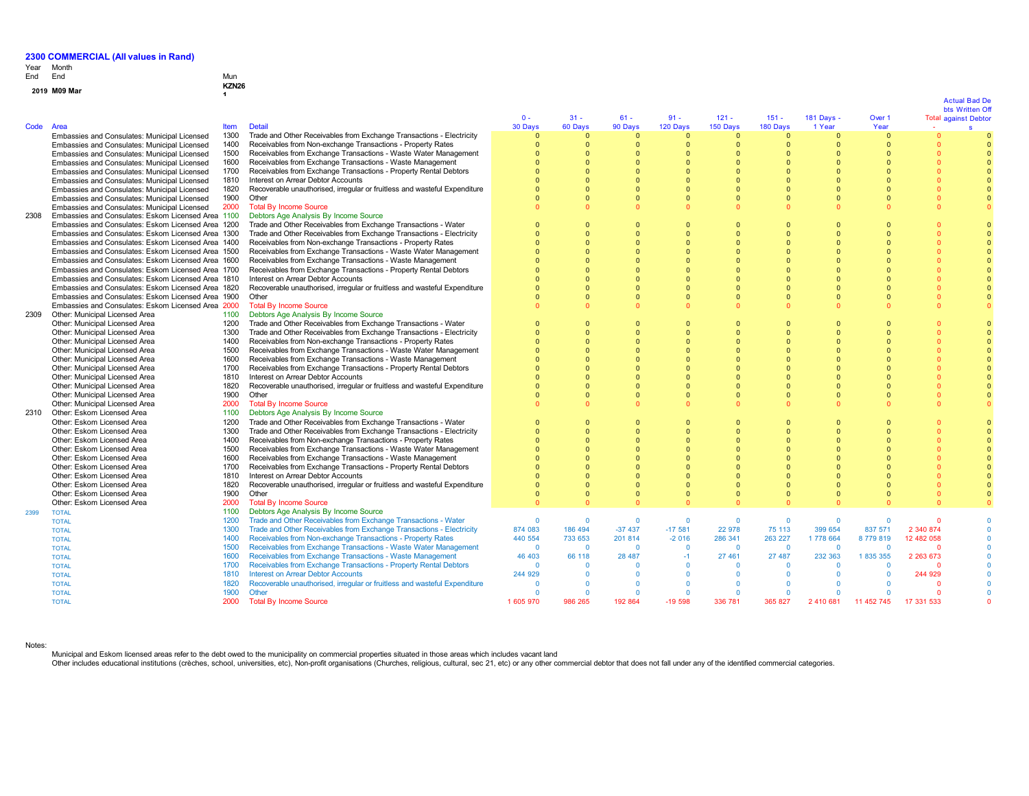## Year End Month End Mun

# **<sup>2019</sup> M09 Mar KZN26**

| r |  |
|---|--|
|---|--|

**1**

| Code | Area                                               | <b>Item</b>  | <b>Detail</b>                                                             | $0 -$<br>30 Days     | $31 -$<br>60 Days    | $61 -$<br>90 Days | $91 -$<br>120 Days   | $121 -$<br>150 Days | $151 -$<br>180 Days  | $181$ Days $\cdot$<br>1 Year | Over 1<br>Year |            | bts Written Off<br><b>Total against Debtor</b><br>$\mathbf{s}$ |
|------|----------------------------------------------------|--------------|---------------------------------------------------------------------------|----------------------|----------------------|-------------------|----------------------|---------------------|----------------------|------------------------------|----------------|------------|----------------------------------------------------------------|
|      |                                                    | 1300         | Trade and Other Receivables from Exchange Transactions - Electricity      | $\Omega$             | $\Omega$             | $\Omega$          | $\Omega$             | $\Omega$            | $\Omega$             | $\Omega$                     | $\Omega$       | $\Omega$   |                                                                |
|      | Embassies and Consulates: Municipal Licensed       | 1400         |                                                                           | $\Omega$             | $\Omega$             |                   | $\Omega$             | $\Omega$            | $\Omega$             |                              |                |            |                                                                |
|      | Embassies and Consulates: Municipal Licensed       |              | Receivables from Non-exchange Transactions - Property Rates               |                      | $\Omega$             |                   | $\Omega$             |                     | $\Omega$             | $\Omega$<br>$\Omega$         |                |            |                                                                |
|      | Embassies and Consulates: Municipal Licensed       | 1500         | Receivables from Exchange Transactions - Waste Water Management           | $\Omega$             |                      |                   |                      |                     |                      |                              |                |            |                                                                |
|      | Embassies and Consulates: Municipal Licensed       | 1600         | Receivables from Exchange Transactions - Waste Management                 | $\Omega$             | $\Omega$             |                   | $\Omega$             | $\Omega$            | $\Omega$             | $\Omega$                     |                |            |                                                                |
|      | Embassies and Consulates: Municipal Licensed       | 1700         | Receivables from Exchange Transactions - Property Rental Debtors          | $\Omega$             | $\Omega$             |                   | $\Omega$             | $\Omega$            | $\Omega$             | $\Omega$                     |                |            |                                                                |
|      | Embassies and Consulates: Municipal Licensed       | 1810         | Interest on Arrear Debtor Accounts                                        | $\Omega$             | $\Omega$             |                   | $\Omega$             | $\Omega$            | $\Omega$             | $\Omega$                     |                |            |                                                                |
|      | Embassies and Consulates: Municipal Licensed       | 1820         | Recoverable unauthorised, irregular or fruitless and wasteful Expenditure | $\Omega$             | $\Omega$             |                   | n                    | $\Omega$            | $\Omega$             | $\Omega$                     |                |            |                                                                |
|      | Embassies and Consulates: Municipal Licensed       | 1900         | Other                                                                     |                      | $\Omega$             |                   | $\Omega$             | $\Omega$            | $\Omega$             | $\Omega$                     |                |            |                                                                |
|      | Embassies and Consulates: Municipal Licensed       | 2000         | <b>Total By Income Source</b>                                             | $\Omega$             | $\Omega$             |                   |                      | $\Omega$            | $\Omega$             |                              |                |            |                                                                |
| 2308 | Embassies and Consulates: Eskom Licensed Area 1100 |              | Debtors Age Analysis By Income Source                                     |                      |                      |                   |                      |                     |                      |                              |                |            |                                                                |
|      | Embassies and Consulates: Eskom Licensed Area 1200 |              | Trade and Other Receivables from Exchange Transactions - Water            | $\Omega$             | $\Omega$             |                   | $\Omega$             | $\Omega$            | $\Omega$             |                              |                |            |                                                                |
|      | Embassies and Consulates: Eskom Licensed Area 1300 |              | Trade and Other Receivables from Exchange Transactions - Electricity      | $\Omega$             | $\Omega$             |                   | $\Omega$             | $\Omega$            | $\Omega$             | $\Omega$                     |                |            |                                                                |
|      | Embassies and Consulates: Eskom Licensed Area 1400 |              | Receivables from Non-exchange Transactions - Property Rates               | $\Omega$             | $\Omega$             |                   | $\Omega$             | $\Omega$            | $\Omega$             | $\Omega$                     |                |            |                                                                |
|      | Embassies and Consulates: Eskom Licensed Area 1500 |              | Receivables from Exchange Transactions - Waste Water Management           | $\Omega$             | $\Omega$             |                   | $\Omega$             | $\Omega$            | $\Omega$             | $\Omega$                     |                |            |                                                                |
|      | Embassies and Consulates: Eskom Licensed Area 1600 |              | Receivables from Exchange Transactions - Waste Management                 | $\Omega$             | $\Omega$             |                   | $\Omega$             | $\sqrt{ }$          | $\Omega$             |                              |                |            |                                                                |
|      | Embassies and Consulates: Eskom Licensed Area 1700 |              | Receivables from Exchange Transactions - Property Rental Debtors          | $\Omega$             | $\Omega$             |                   |                      | $\Omega$            | $\Omega$             |                              |                |            |                                                                |
|      | Embassies and Consulates: Eskom Licensed Area 1810 |              | Interest on Arrear Debtor Accounts                                        | $\Omega$             | $\Omega$             |                   | $\Omega$             | $\sqrt{ }$          | $\Omega$             | $\Omega$                     |                |            |                                                                |
|      | Embassies and Consulates: Eskom Licensed Area 1820 |              | Recoverable unauthorised, irregular or fruitless and wasteful Expenditure |                      | $\Omega$             |                   | $\Omega$             |                     | $\Omega$             |                              |                |            |                                                                |
|      | Embassies and Consulates: Eskom Licensed Area 1900 |              | Other                                                                     | $\Omega$             | $\Omega$             | $\Omega$          | $\Omega$             | $\Omega$            | $\Omega$             | $\Omega$                     |                |            |                                                                |
|      | Embassies and Consulates: Eskom Licensed Area 2000 |              | <b>Total By Income Source</b>                                             |                      | n                    |                   | $\Omega$             | $\sqrt{2}$          | $\Omega$             |                              |                |            |                                                                |
| 2309 | Other: Municipal Licensed Area                     | 1100         | Debtors Age Analysis By Income Source                                     |                      |                      |                   |                      |                     |                      |                              |                |            |                                                                |
|      | Other: Municipal Licensed Area                     | 1200         | Trade and Other Receivables from Exchange Transactions - Water            | $\Omega$             | n                    |                   | $\Omega$             | $\Omega$            | $\Omega$             |                              |                |            |                                                                |
|      | Other: Municipal Licensed Area                     | 1300         | Trade and Other Receivables from Exchange Transactions - Electricity      | $\Omega$             | $\Omega$             |                   | $\Omega$             | $\Omega$            | $\Omega$             | $\Omega$                     |                |            |                                                                |
|      | Other: Municipal Licensed Area                     | 1400         | Receivables from Non-exchange Transactions - Property Rates               | $\Omega$             | $\Omega$             |                   | $\Omega$             | $\Omega$            | $\Omega$             | $\Omega$                     |                |            |                                                                |
|      | Other: Municipal Licensed Area                     | 1500         | Receivables from Exchange Transactions - Waste Water Management           | $\Omega$             |                      |                   |                      |                     | $\Omega$             |                              |                |            |                                                                |
|      | Other: Municipal Licensed Area                     | 1600         | Receivables from Exchange Transactions - Waste Management                 | $\Omega$             | $\Omega$             |                   | $\Omega$             | $\Omega$            | $\Omega$             |                              |                |            |                                                                |
|      | Other: Municipal Licensed Area                     | 1700         | Receivables from Exchange Transactions - Property Rental Debtors          | $\Omega$             | n                    |                   | $\Omega$             |                     | $\Omega$             | $\Omega$                     |                |            |                                                                |
|      | Other: Municipal Licensed Area                     | 1810         | Interest on Arrear Debtor Accounts                                        | $\Omega$             | $\Omega$             |                   |                      |                     | $\Omega$             |                              |                |            |                                                                |
|      | Other: Municipal Licensed Area                     | 1820         | Recoverable unauthorised, irregular or fruitless and wasteful Expenditure |                      | $\Omega$             |                   | $\Omega$             | $\Omega$            | $\Omega$             | n                            |                |            |                                                                |
|      | Other: Municipal Licensed Area                     | 1900         | Other                                                                     | $\Omega$             | $\Omega$             |                   | n                    | $\Omega$            | $\Omega$             | $\Omega$                     |                |            | $\Omega$                                                       |
|      | Other: Municipal Licensed Area                     | 2000         | <b>Total By Income Source</b>                                             | $\Omega$             | $\Omega$             |                   | $\Omega$             | $\Omega$            | $\Omega$             |                              |                |            |                                                                |
| 2310 | Other: Eskom Licensed Area                         | 1100         | Debtors Age Analysis By Income Source                                     |                      |                      |                   |                      |                     |                      |                              |                |            |                                                                |
|      | Other: Eskom Licensed Area                         | 1200         | Trade and Other Receivables from Exchange Transactions - Water            | $\Omega$             | $\Omega$             |                   | $\Omega$             | $\Omega$            | $\Omega$             |                              |                |            |                                                                |
|      | Other: Eskom Licensed Area                         | 1300         | Trade and Other Receivables from Exchange Transactions - Electricity      | $\Omega$             | $\Omega$             |                   | $\Omega$             | $\Omega$            | $\Omega$             |                              |                |            |                                                                |
|      | Other: Eskom Licensed Area                         | 1400         | Receivables from Non-exchange Transactions - Property Rates               | $\Omega$             | $\Omega$             |                   | $\Omega$             | $\Omega$            | $\Omega$             | $\Omega$                     |                |            |                                                                |
|      | Other: Eskom Licensed Area                         | 1500         | Receivables from Exchange Transactions - Waste Water Management           | $\Omega$             | $\Omega$             |                   | $\Omega$             | $\Omega$            | $\Omega$             | $\Omega$                     |                |            |                                                                |
|      | Other: Eskom Licensed Area                         | 1600         | Receivables from Exchange Transactions - Waste Management                 | $\Omega$             | $\Omega$             |                   | $\Omega$             | $\Omega$            |                      |                              |                |            |                                                                |
|      | Other: Eskom Licensed Area                         | 1700         | Receivables from Exchange Transactions - Property Rental Debtors          |                      |                      |                   | $\Omega$             |                     | $\Omega$             |                              |                |            |                                                                |
|      | Other: Eskom Licensed Area                         | 1810         | Interest on Arrear Debtor Accounts                                        | $\Omega$<br>$\Omega$ | $\Omega$<br>$\Omega$ |                   | $\Omega$<br>$\Omega$ | $\Omega$            | $\Omega$<br>$\Omega$ | $\Omega$<br>$\Omega$         |                |            |                                                                |
|      | Other: Eskom Licensed Area                         | 1820         | Recoverable unauthorised, irregular or fruitless and wasteful Expenditure |                      |                      |                   |                      |                     |                      |                              |                |            |                                                                |
|      | Other: Eskom Licensed Area                         | 1900         | Other                                                                     | $\Omega$<br>$\Omega$ | $\Omega$             | $\Omega$          | $\Omega$             | $\Omega$            | $\Omega$<br>$\Omega$ | $\Omega$                     |                |            |                                                                |
|      | Other: Eskom Licensed Area                         | 2000<br>1100 | <b>Total By Income Source</b><br>Debtors Age Analysis By Income Source    |                      |                      |                   |                      |                     |                      |                              |                |            |                                                                |
| 2399 | <b>TOTAL</b><br><b>TOTAL</b>                       | 1200         | Trade and Other Receivables from Exchange Transactions - Water            | $\Omega$             | $\Omega$             | $\Omega$          | $\mathbf{0}$         | $\mathbf{0}$        | $\Omega$             | $\Omega$                     |                | $\Omega$   |                                                                |
|      |                                                    | 1300         | Trade and Other Receivables from Exchange Transactions - Electricity      | 874 083              | 186 494              | $-37437$          | $-17581$             | 22 978              | 75 113               | 399 654                      | 837 571        | 2 340 874  |                                                                |
|      | <b>TOTAL</b>                                       | 1400         | Receivables from Non-exchange Transactions - Property Rates               | 440 554              | 733 653              | 201 814           | $-2016$              | 286 341             | 263 227              | 1778 664                     | 8779819        | 12 482 058 |                                                                |
|      | <b>TOTAL</b><br><b>TOTAL</b>                       | 1500         | Receivables from Exchange Transactions - Waste Water Management           | $\Omega$             | $\Omega$             | $\Omega$          | $\Omega$             | $\overline{0}$      | $\Omega$             | $\Omega$                     | $\Omega$       | $\Omega$   |                                                                |
|      | <b>TOTAL</b>                                       | 1600         | Receivables from Exchange Transactions - Waste Management                 | 46 403               | 66 118               | 28 487            | $-1$                 | 27 461              | 27 487               | 232 363                      | 1835355        | 2 263 673  |                                                                |
|      | <b>TOTAL</b>                                       | 1700         | Receivables from Exchange Transactions - Property Rental Debtors          | $\Omega$             | $\Omega$             | $\Omega$          | $\Omega$             | $\Omega$            | $\Omega$             | $\Omega$                     |                | $\Omega$   |                                                                |
|      | <b>TOTAL</b>                                       | 1810         | <b>Interest on Arrear Debtor Accounts</b>                                 | 244 929              | $\Omega$             | $\Omega$          | $\Omega$             | $\Omega$            | $\Omega$             | $\Omega$                     | $\Omega$       | 244 929    |                                                                |
|      | <b>TOTAL</b>                                       | 1820         | Recoverable unauthorised, irregular or fruitless and wasteful Expenditure | $\Omega$             | $\Omega$             |                   | $\Omega$             | $\Omega$            | $\Omega$             |                              | $\Omega$       | $\Omega$   |                                                                |
|      | <b>TOTAL</b>                                       | 1900         | Other                                                                     | $\Omega$             | $\Omega$             | $\Omega$          | $\Omega$             | $\overline{0}$      | $\Omega$             | $\Omega$                     | $\Omega$       | $\Omega$   |                                                                |
|      | <b>TOTAL</b>                                       | 2000         | <b>Total By Income Source</b>                                             | 1 605 970            | 986 265              | 192 864           | $-19598$             | 336 781             | 365 827              | 2 410 681                    | 11 452 745     | 17 331 533 |                                                                |
|      |                                                    |              |                                                                           |                      |                      |                   |                      |                     |                      |                              |                |            |                                                                |

Notes:

Municipal and Eskom licensed areas refer to the debt owed to the municipality on commercial properties situated in those areas which includes vacant land<br>Other includes educational institutions (crèches, school, universiti

### Actual Bad De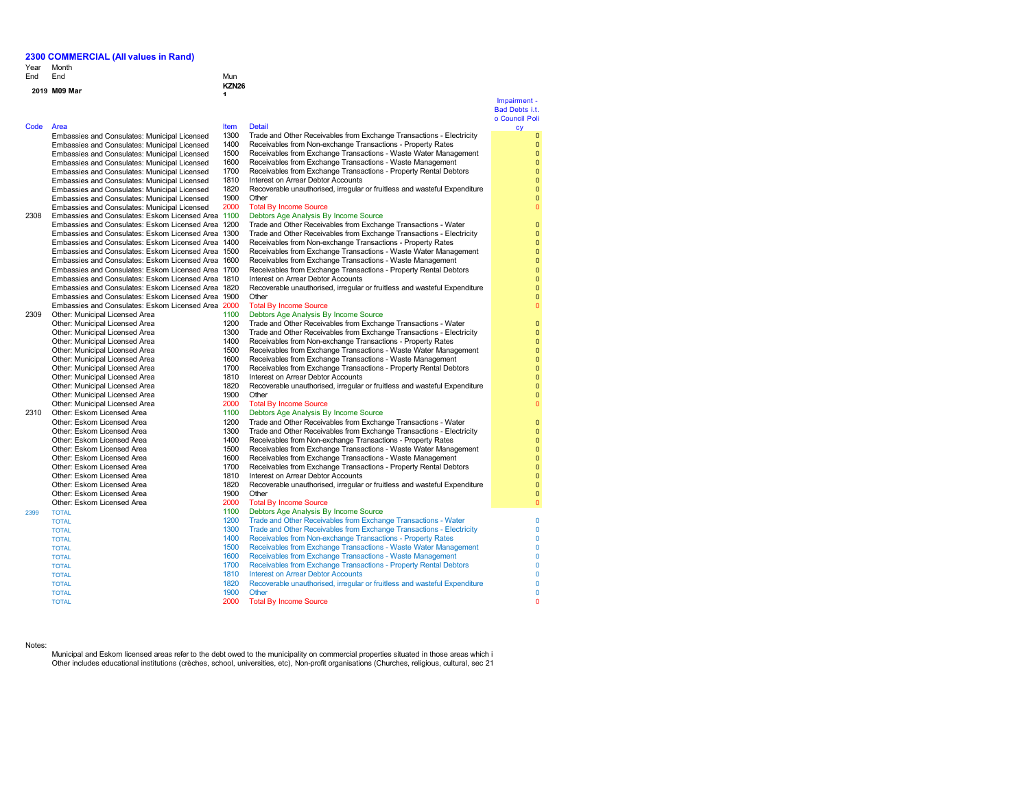Year Month End End End Mun

## **<sup>2019</sup> M09 Mar KZN26**

Code Area **Item Detail** Embassies and Consulates: Municipal Licensed Embassies and Consulates: Municipal Licensed Embassies and Consulates: Municipal Licensed Embassies and Consulates: Municipal Licensed Embassies and Consulates: Municipal Licensed Embassies and Consulates: Municipal Licensed Embassies and Consulates: Municipal Licensed Embassies and Consulates: Municipal Licensed Embassies and Consulates: Municipal Licensed 2308 Embassies and Consulates: Eskom Licensed Area 1100 Debtors Age Analysis By Income Source Embassies and Consulates: Eskom Licensed Area 120 Embassies and Consulates: Eskom Licensed Area 130 Embassies and Consulates: Eskom Licensed Area, 140 Embassies and Consulates: Eskom Licensed Area 150 Embassies and Consulates: Eskom Licensed Area 160 Embassies and Consulates: Eskom Licensed Area 170 Embassies and Consulates: Eskom Licensed Area 181 Embassies and Consulates: Eskom Licensed Area 1820 Embassies and Consulates: Eskom Licensed Area 190 Embassies and Consulates: Eskom Licensed Area 200<br>Other Municinal Licensed Area 110 2309 Other: Municipal Licensed Area 110<br>Other: Municipal Licensed Area 120 Other: Municipal Licensed Area 1200 Trade and Other Receives from Exchange Transactions - Water Transactions - Water<br>1300 Transactions - Water Transactions - Water Transactions - Water Transactions - Water Transactions - W Other: Municipal Licensed Area 1300 Trade and Other Receives from Exchange Transactions - Electricity - Electricity - Electricity - Electricity - Electricity - Electricity - Electricity - Electricity - Electricity - Electr Other: Municipal Licensed Area 140<br>Other: Municipal Licensed Area 150 Other: Municipal Licensed Area 150<br>Other: Municipal Licensed Area 160 Other: Municipal Licensed Area Other: Municipal Licensed Area 170<br>
Other: Municipal Licensed Area 181 Other: Municipal Licensed Area<br>
Other: Municipal Licensed Area<br>
182 Other: Municipal Licensed Area 182<br>
Other: Municipal Licensed Area 190 Other: Municipal Licensed Area 190<br>Other: Municipal Licensed Area 1900 Other: Municipal Licensed Area 2310 Other: Eskom Licensed Area 110<br>Other: Eskom Licensed Area 120 Other: Eskom Licensed Area 120<br>
Other: Eskom Licensed Area 130 Other: Eskom Licensed Area 130<br>Other: Eskom Licensed Area 140 Other: Eskom Licensed Area 140<br>Other: Eskom Licensed Area 150 Other: Eskom Licensed Area Other: Eskom Licensed Area 160<br>
Other: Eskom Licensed Area 170 Other: Eskom Licensed Area 170<br>Other: Eskom Licensed Area 181 Other: Eskom Licensed Area<br>
Other: Eskom Licensed Area<br>
182 Other: Eskom Licensed Area 182<br>
1820 Recoverable unauthorised, inclusive and wasteful Expenditure in the manufacture of the set of the manufacture or fruit expenditure in the manufacture or fruit expenditure in the manufac Other: Eskom Licensed Area Other: Eskom Licensed Area 200<br>TOTAL By Income Source Source Source Source Source Source Source Source Source Source Source Source Source Source Source Source Source Source Source Source Source Source Source Source Source 2399 TOTAL 1100 Debtors Age Analysis By Income Source

TOTAL **1900** Other

TOTAL 2000 Total By Income Source

**1**

### Impairment - Bad Debts i.t. o Council Poli cy

1300 Trade and Other Receivables from Exchange Transactions - Electricity<br>1400 Receivables from Non-exchange Transactions - Property Rates

- 1400 Receivables from Non-exchange Transactions Property Rates
- 1500 Receivables from Exchange Transactions Waste Water Management<br>1600 Receivables from Exchange Transactions Waste Management 1600 Receivables from Exchange Transactions - Waste Management<br>1700 Receivables from Exchange Transactions - Property Rental Debt
- 1700 Receivables from Exchange Transactions Property Rental Debtors<br>1810 Interest on Arrear Debtor Accounts
- 1810 Interest on Arrear Debtor Accounts<br>1820 Recoverable unauthorised, irregular 1820 Recoverable unauthorised, irregular or fruitless and wasteful Expenditure
- 1900 Other<br>2000 Total I

# Total By Income Source<br>Debtors Age Analysis By Income Source

| Embassies and Consulates: Eskom Licensed Area 1200 |      | Trade and Other Receivables from Exchange Transactions - Water            |  |
|----------------------------------------------------|------|---------------------------------------------------------------------------|--|
| Embassies and Consulates: Eskom Licensed Area 1300 |      | Trade and Other Receivables from Exchange Transactions - Electricity      |  |
| Embassies and Consulates: Eskom Licensed Area 1400 |      | Receivables from Non-exchange Transactions - Property Rates               |  |
| Embassies and Consulates: Eskom Licensed Area 1500 |      | Receivables from Exchange Transactions - Waste Water Management           |  |
| Embassies and Consulates: Eskom Licensed Area 1600 |      | Receivables from Exchange Transactions - Waste Management                 |  |
| Embassies and Consulates: Eskom Licensed Area 1700 |      | Receivables from Exchange Transactions - Property Rental Debtors          |  |
| Embassies and Consulates: Eskom Licensed Area 1810 |      | Interest on Arrear Debtor Accounts                                        |  |
| Embassies and Consulates: Eskom Licensed Area 1820 |      | Recoverable unauthorised, irregular or fruitless and wasteful Expenditure |  |
| Embassies and Consulates: Eskom Licensed Area 1900 |      | Other                                                                     |  |
| Embassies and Consulates: Eskom Licensed Area 2000 |      | <b>Total By Income Source</b>                                             |  |
| Other: Municipal Licensed Area                     | 1100 | Debtors Age Analysis By Income Source                                     |  |
| Other: Municipal Licensed Area                     | 1200 | Trade and Other Receivables from Exchange Transactions - Water            |  |
| Other: Municipal Licensed Area                     | 1300 | Trade and Other Receivables from Exchange Transactions - Electricity      |  |
| Other: Municipal Licensed Area                     | 1400 | Receivables from Non-exchange Transactions - Property Rates               |  |
| Other: Municipal Licensed Area                     | 1500 | Receivables from Exchange Transactions - Waste Water Management           |  |
| Other: Municipal Licensed Area                     | 1600 | Receivables from Exchange Transactions - Waste Management                 |  |
| Other: Municipal Licensed Area                     | 1700 | Receivables from Exchange Transactions - Property Rental Debtors          |  |
| Other: Municipal Licensed Area                     | 1810 | Interest on Arrear Debtor Accounts                                        |  |
| Other: Municipal Licensed Area                     | 1820 | Recoverable unauthorised, irregular or fruitless and wasteful Expenditure |  |
| Other: Municipal Licensed Area                     | 1900 | Other                                                                     |  |
| Other: Municipal Licensed Area                     | 2000 | <b>Total By Income Source</b>                                             |  |
| Other: Eskom Licensed Area                         | 1100 | Debtors Age Analysis By Income Source                                     |  |
| Other: Eskom Licensed Area                         | 1200 | Trade and Other Receivables from Exchange Transactions - Water            |  |
| Other: Eskom Licensed Area                         | 1300 | Trade and Other Receivables from Exchange Transactions - Electricity      |  |
| Other: Eskom Licensed Area                         | 1400 | Receivables from Non-exchange Transactions - Property Rates               |  |
| Other: Eskom Licensed Area                         | 1500 | Receivables from Exchange Transactions - Waste Water Management           |  |
| Other: Eskom Licensed Area                         | 1600 | Receivables from Exchange Transactions - Waste Management                 |  |
| Other: Eskom Licensed Area                         | 1700 | Receivables from Exchange Transactions - Property Rental Debtors          |  |
| Other: Eskom Licensed Area                         | 1810 | Interest on Arrear Debtor Accounts                                        |  |
| Other: Eskom Licensed Area                         | 1820 | Recoverable unauthorised, irregular or fruitless and wasteful Expenditure |  |
| Other: Eskom Licensed Area                         | 1900 | Other                                                                     |  |
| Other: Eskom Licensed Area                         | 2000 | <b>Total By Income Source</b>                                             |  |
| <b>TOTAL</b>                                       | 1100 | Debtors Age Analysis By Income Source                                     |  |
| <b>TOTAL</b>                                       | 1200 | Trade and Other Receivables from Exchange Transactions - Water            |  |
| <b>TOTAL</b>                                       | 1300 | Trade and Other Receivables from Exchange Transactions - Electricity      |  |
| <b>TOTAL</b>                                       | 1400 | Receivables from Non-exchange Transactions - Property Rates               |  |
| <b>TOTAL</b>                                       | 1500 | Receivables from Exchange Transactions - Waste Water Management           |  |
| <b>TOTAL</b>                                       | 1600 | Receivables from Exchange Transactions - Waste Management                 |  |
| <b>TOTAL</b>                                       | 1700 | Receivables from Exchange Transactions - Property Rental Debtors          |  |
| <b>TOTAL</b>                                       | 1810 | <b>Interest on Arrear Debtor Accounts</b>                                 |  |
| <b>TOTAL</b>                                       | 1820 | Recoverable unauthorised, irregular or fruitless and wasteful Expenditure |  |

### Notes:

Municipal and Eskom licensed areas refer to the debt owed to the municipality on commercial properties situated in those areas which i Other includes educational institutions (crèches, school, universities, etc), Non-profit organisations (Churches, religious, cultural, sec 21

TOTAL 1820 Recoverable unauthorised, irregular or fruitless and wasteful Expenditure<br>TOTAL 1900 Other